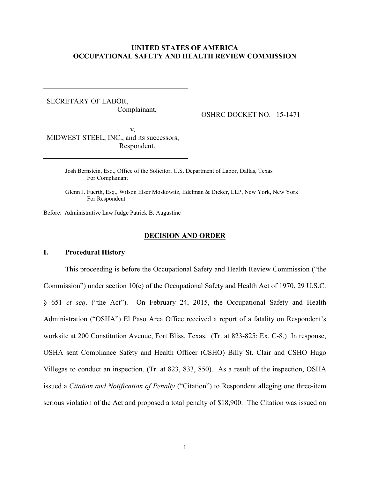## **UNITED STATES OF AMERICA OCCUPATIONAL SAFETY AND HEALTH REVIEW COMMISSION**

SECRETARY OF LABOR, Complainant,

OSHRC DOCKET NO. 15-1471

 v. MIDWEST STEEL, INC., and its successors, Respondent.

> Josh Bernstein, Esq., Office of the Solicitor, U.S. Department of Labor, Dallas, Texas For Complainant

Glenn J. Fuerth, Esq., Wilson Elser Moskowitz, Edelman & Dicker, LLP, New York, New York For Respondent

Before: Administrative Law Judge Patrick B. Augustine

### **DECISION AND ORDER**

### **I. Procedural History**

This proceeding is before the Occupational Safety and Health Review Commission ("the Commission") under section 10(c) of the Occupational Safety and Health Act of 1970, 29 U.S.C. § 651 *et seq*. ("the Act"). On February 24, 2015, the Occupational Safety and Health Administration ("OSHA") El Paso Area Office received a report of a fatality on Respondent's worksite at 200 Constitution Avenue, Fort Bliss, Texas. (Tr. at 823-825; Ex. C-8.) In response, OSHA sent Compliance Safety and Health Officer (CSHO) Billy St. Clair and CSHO Hugo Villegas to conduct an inspection. (Tr. at 823, 833, 850). As a result of the inspection, OSHA issued a *Citation and Notification of Penalty* ("Citation") to Respondent alleging one three-item serious violation of the Act and proposed a total penalty of \$18,900. The Citation was issued on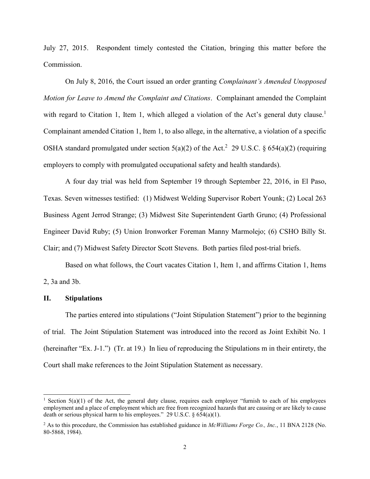July 27, 2015. Respondent timely contested the Citation, bringing this matter before the Commission.

On July 8, 2016, the Court issued an order granting *Complainant's Amended Unopposed Motion for Leave to Amend the Complaint and Citations*. Complainant amended the Complaint with regard to Citation 1, Item 1, which alleged a violation of the Act's general duty clause.<sup>1</sup> Complainant amended Citation 1, Item 1, to also allege, in the alternative, a violation of a specific OSHA standard promulgated under section  $5(a)(2)$  of the Act.<sup>2</sup> 29 U.S.C. § 654(a)(2) (requiring employers to comply with promulgated occupational safety and health standards).

A four day trial was held from September 19 through September 22, 2016, in El Paso, Texas. Seven witnesses testified: (1) Midwest Welding Supervisor Robert Younk; (2) Local 263 Business Agent Jerrod Strange; (3) Midwest Site Superintendent Garth Gruno; (4) Professional Engineer David Ruby; (5) Union Ironworker Foreman Manny Marmolejo; (6) CSHO Billy St. Clair; and (7) Midwest Safety Director Scott Stevens. Both parties filed post-trial briefs.

Based on what follows, the Court vacates Citation 1, Item 1, and affirms Citation 1, Items 2, 3a and 3b.

## **II. Stipulations**

 $\overline{a}$ 

The parties entered into stipulations ("Joint Stipulation Statement") prior to the beginning of trial. The Joint Stipulation Statement was introduced into the record as Joint Exhibit No. 1 (hereinafter "Ex. J-1.") (Tr. at 19.) In lieu of reproducing the Stipulations m in their entirety, the Court shall make references to the Joint Stipulation Statement as necessary.

<sup>&</sup>lt;sup>1</sup> Section 5(a)(1) of the Act, the general duty clause, requires each employer "furnish to each of his employees employment and a place of employment which are free from recognized hazards that are causing or are likely to cause death or serious physical harm to his employees." 29 U.S.C.  $\S 654(a)(1)$ .

<sup>2</sup> As to this procedure, the Commission has established guidance in *McWilliams Forge Co., Inc.*, 11 BNA 2128 (No. 80-5868, 1984).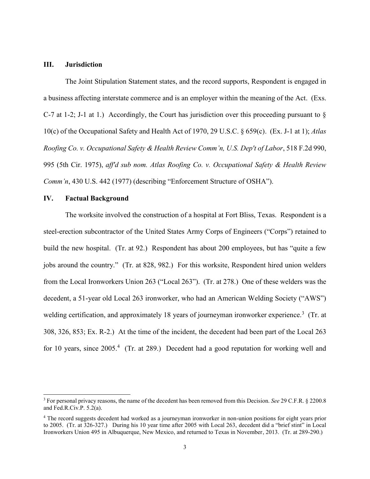## **III. Jurisdiction**

The Joint Stipulation Statement states, and the record supports, Respondent is engaged in a business affecting interstate commerce and is an employer within the meaning of the Act. (Exs. C-7 at 1-2; J-1 at 1.) Accordingly, the Court has jurisdiction over this proceeding pursuant to  $\S$ 10(c) of the Occupational Safety and Health Act of 1970, 29 U.S.C. § 659(c). (Ex. J-1 at 1); *Atlas Roofing Co. v. Occupational Safety & Health Review Comm'n, U.S. Dep't of Labor*, 518 F.2d 990, 995 (5th Cir. 1975), *aff'd sub nom. Atlas Roofing Co. v. Occupational Safety & Health Review Comm'n*, 430 U.S. 442 (1977) (describing "Enforcement Structure of OSHA").

## **IV. Factual Background**

 $\overline{a}$ 

The worksite involved the construction of a hospital at Fort Bliss, Texas. Respondent is a steel-erection subcontractor of the United States Army Corps of Engineers ("Corps") retained to build the new hospital. (Tr. at 92.) Respondent has about 200 employees, but has "quite a few jobs around the country." (Tr. at 828, 982.) For this worksite, Respondent hired union welders from the Local Ironworkers Union 263 ("Local 263"). (Tr. at 278.) One of these welders was the decedent, a 51-year old Local 263 ironworker, who had an American Welding Society ("AWS") welding certification, and approximately 18 years of journeyman ironworker experience.<sup>3</sup> (Tr. at 308, 326, 853; Ex. R-2.) At the time of the incident, the decedent had been part of the Local 263 for 10 years, since 2005.<sup>4</sup> (Tr. at 289.) Decedent had a good reputation for working well and

<sup>3</sup> For personal privacy reasons, the name of the decedent has been removed from this Decision. *See* 29 C.F.R. § 2200.8 and Fed.R.Civ.P. 5.2(a).

<sup>4</sup> The record suggests decedent had worked as a journeyman ironworker in non-union positions for eight years prior to 2005. (Tr. at 326-327.) During his 10 year time after 2005 with Local 263, decedent did a "brief stint" in Local Ironworkers Union 495 in Albuquerque, New Mexico, and returned to Texas in November, 2013. (Tr. at 289-290.)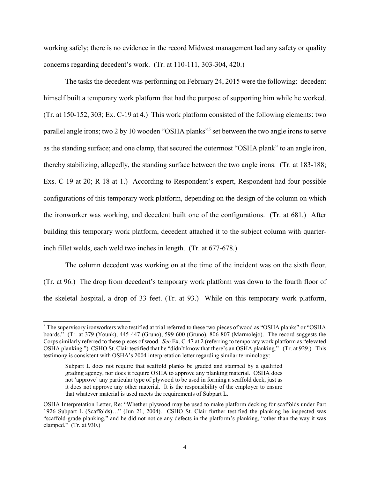working safely; there is no evidence in the record Midwest management had any safety or quality concerns regarding decedent's work. (Tr. at 110-111, 303-304, 420.)

The tasks the decedent was performing on February 24, 2015 were the following: decedent himself built a temporary work platform that had the purpose of supporting him while he worked. (Tr. at 150-152, 303; Ex. C-19 at 4.) This work platform consisted of the following elements: two parallel angle irons; two 2 by 10 wooden "OSHA planks"<sup>5</sup> set between the two angle irons to serve as the standing surface; and one clamp, that secured the outermost "OSHA plank" to an angle iron, thereby stabilizing, allegedly, the standing surface between the two angle irons. (Tr. at 183-188; Exs. C-19 at 20; R-18 at 1.) According to Respondent's expert, Respondent had four possible configurations of this temporary work platform, depending on the design of the column on which the ironworker was working, and decedent built one of the configurations. (Tr. at 681.) After building this temporary work platform, decedent attached it to the subject column with quarterinch fillet welds, each weld two inches in length. (Tr. at 677-678.)

The column decedent was working on at the time of the incident was on the sixth floor. (Tr. at 96.) The drop from decedent's temporary work platform was down to the fourth floor of the skeletal hospital, a drop of 33 feet. (Tr. at 93.) While on this temporary work platform,

<sup>5</sup> The supervisory ironworkers who testified at trial referred to these two pieces of wood as "OSHA planks" or "OSHA boards." (Tr. at 379 (Younk), 445-447 (Gruno), 599-600 (Gruno), 806-807 (Marmolejo). The record suggests the Corps similarly referred to these pieces of wood. *See* Ex. C-47 at 2 (referring to temporary work platform as "elevated OSHA planking.") CSHO St. Clair testified that he "didn't know that there's an OSHA planking." (Tr. at 929.) This testimony is consistent with OSHA's 2004 interpretation letter regarding similar terminology:

Subpart L does not require that scaffold planks be graded and stamped by a qualified grading agency, nor does it require OSHA to approve any planking material. OSHA does not 'approve' any particular type of plywood to be used in forming a scaffold deck, just as it does not approve any other material. It is the responsibility of the employer to ensure that whatever material is used meets the requirements of Subpart L.

OSHA Interpretation Letter, Re: "Whether plywood may be used to make platform decking for scaffolds under Part 1926 Subpart L (Scaffolds)…" (Jun 21, 2004). CSHO St. Clair further testified the planking he inspected was "scaffold-grade planking," and he did not notice any defects in the platform's planking, "other than the way it was clamped." (Tr. at 930.)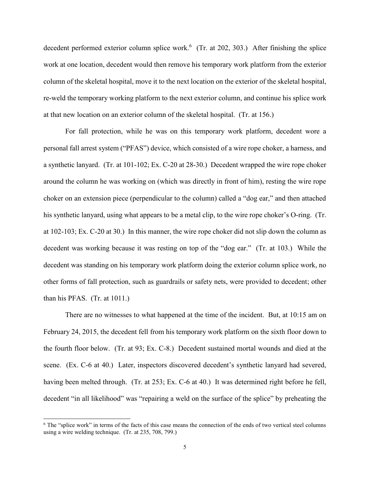decedent performed exterior column splice work.<sup>6</sup> (Tr. at 202, 303.) After finishing the splice work at one location, decedent would then remove his temporary work platform from the exterior column of the skeletal hospital, move it to the next location on the exterior of the skeletal hospital, re-weld the temporary working platform to the next exterior column, and continue his splice work at that new location on an exterior column of the skeletal hospital. (Tr. at 156.)

For fall protection, while he was on this temporary work platform, decedent wore a personal fall arrest system ("PFAS") device, which consisted of a wire rope choker, a harness, and a synthetic lanyard. (Tr. at 101-102; Ex. C-20 at 28-30.) Decedent wrapped the wire rope choker around the column he was working on (which was directly in front of him), resting the wire rope choker on an extension piece (perpendicular to the column) called a "dog ear," and then attached his synthetic lanyard, using what appears to be a metal clip, to the wire rope choker's O-ring. (Tr. at 102-103; Ex. C-20 at 30.) In this manner, the wire rope choker did not slip down the column as decedent was working because it was resting on top of the "dog ear." (Tr. at 103.) While the decedent was standing on his temporary work platform doing the exterior column splice work, no other forms of fall protection, such as guardrails or safety nets, were provided to decedent; other than his PFAS. (Tr. at 1011.)

There are no witnesses to what happened at the time of the incident. But, at 10:15 am on February 24, 2015, the decedent fell from his temporary work platform on the sixth floor down to the fourth floor below. (Tr. at 93; Ex. C-8.) Decedent sustained mortal wounds and died at the scene. (Ex. C-6 at 40.) Later, inspectors discovered decedent's synthetic lanyard had severed, having been melted through. (Tr. at 253; Ex. C-6 at 40.) It was determined right before he fell, decedent "in all likelihood" was "repairing a weld on the surface of the splice" by preheating the

<sup>&</sup>lt;sup>6</sup> The "splice work" in terms of the facts of this case means the connection of the ends of two vertical steel columns using a wire welding technique. (Tr. at 235, 708, 799.)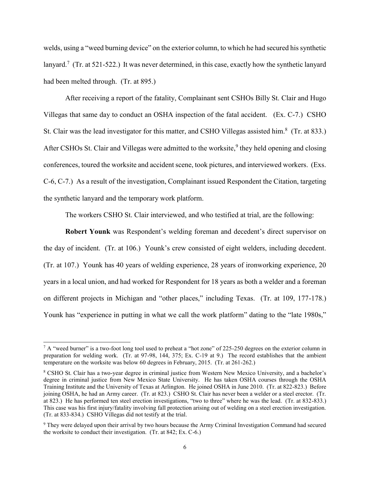welds, using a "weed burning device" on the exterior column, to which he had secured his synthetic lanyard.<sup>7</sup> (Tr. at 521-522.) It was never determined, in this case, exactly how the synthetic lanyard had been melted through. (Tr. at 895.)

After receiving a report of the fatality, Complainant sent CSHOs Billy St. Clair and Hugo Villegas that same day to conduct an OSHA inspection of the fatal accident. (Ex. C-7.) CSHO St. Clair was the lead investigator for this matter, and CSHO Villegas assisted him.<sup>8</sup> (Tr. at 833.) After CSHOs St. Clair and Villegas were admitted to the worksite,<sup>9</sup> they held opening and closing conferences, toured the worksite and accident scene, took pictures, and interviewed workers. (Exs. C-6, C-7.) As a result of the investigation, Complainant issued Respondent the Citation, targeting the synthetic lanyard and the temporary work platform.

The workers CSHO St. Clair interviewed, and who testified at trial, are the following:

**Robert Younk** was Respondent's welding foreman and decedent's direct supervisor on the day of incident. (Tr. at 106.) Younk's crew consisted of eight welders, including decedent. (Tr. at 107.) Younk has 40 years of welding experience, 28 years of ironworking experience, 20 years in a local union, and had worked for Respondent for 18 years as both a welder and a foreman on different projects in Michigan and "other places," including Texas. (Tr. at 109, 177-178.) Younk has "experience in putting in what we call the work platform" dating to the "late 1980s,"

<sup>&</sup>lt;sup>7</sup> A "weed burner" is a two-foot long tool used to preheat a "hot zone" of 225-250 degrees on the exterior column in preparation for welding work. (Tr. at 97-98, 144, 375; Ex. C-19 at 9.) The record establishes that the ambient temperature on the worksite was below 60 degrees in February, 2015. (Tr. at 261-262.)

<sup>8</sup> CSHO St. Clair has a two-year degree in criminal justice from Western New Mexico University, and a bachelor's degree in criminal justice from New Mexico State University. He has taken OSHA courses through the OSHA Training Institute and the University of Texas at Arlington. He joined OSHA in June 2010. (Tr. at 822-823.) Before joining OSHA, he had an Army career. (Tr. at 823.) CSHO St. Clair has never been a welder or a steel erector. (Tr. at 823.) He has performed ten steel erection investigations, "two to three" where he was the lead. (Tr. at 832-833.) This case was his first injury/fatality involving fall protection arising out of welding on a steel erection investigation. (Tr. at 833-834.) CSHO Villegas did not testify at the trial.

<sup>9</sup> They were delayed upon their arrival by two hours because the Army Criminal Investigation Command had secured the worksite to conduct their investigation. (Tr. at 842; Ex. C-6.)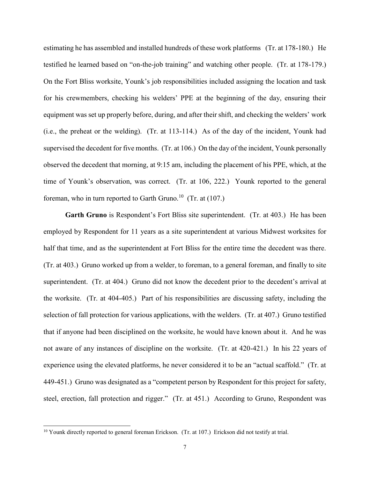estimating he has assembled and installed hundreds of these work platforms (Tr. at 178-180.) He testified he learned based on "on-the-job training" and watching other people. (Tr. at 178-179.) On the Fort Bliss worksite, Younk's job responsibilities included assigning the location and task for his crewmembers, checking his welders' PPE at the beginning of the day, ensuring their equipment was set up properly before, during, and after their shift, and checking the welders' work (i.e., the preheat or the welding). (Tr. at 113-114.) As of the day of the incident, Younk had supervised the decedent for five months. (Tr. at 106.) On the day of the incident, Younk personally observed the decedent that morning, at 9:15 am, including the placement of his PPE, which, at the time of Younk's observation, was correct. (Tr. at 106, 222.) Younk reported to the general foreman, who in turn reported to Garth Gruno.<sup>10</sup> (Tr. at  $(107.)$ )

**Garth Gruno** is Respondent's Fort Bliss site superintendent. (Tr. at 403.) He has been employed by Respondent for 11 years as a site superintendent at various Midwest worksites for half that time, and as the superintendent at Fort Bliss for the entire time the decedent was there. (Tr. at 403.) Gruno worked up from a welder, to foreman, to a general foreman, and finally to site superintendent. (Tr. at 404.) Gruno did not know the decedent prior to the decedent's arrival at the worksite. (Tr. at 404-405.) Part of his responsibilities are discussing safety, including the selection of fall protection for various applications, with the welders. (Tr. at 407.) Gruno testified that if anyone had been disciplined on the worksite, he would have known about it. And he was not aware of any instances of discipline on the worksite. (Tr. at 420-421.) In his 22 years of experience using the elevated platforms, he never considered it to be an "actual scaffold." (Tr. at 449-451.) Gruno was designated as a "competent person by Respondent for this project for safety, steel, erection, fall protection and rigger." (Tr. at 451.) According to Gruno, Respondent was

<sup>&</sup>lt;sup>10</sup> Younk directly reported to general foreman Erickson. (Tr. at 107.) Erickson did not testify at trial.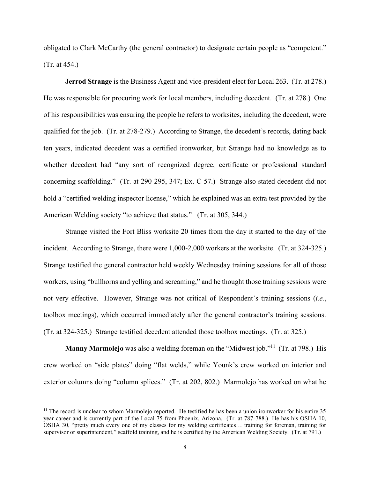obligated to Clark McCarthy (the general contractor) to designate certain people as "competent." (Tr. at 454.)

**Jerrod Strange** is the Business Agent and vice-president elect for Local 263. (Tr. at 278.) He was responsible for procuring work for local members, including decedent. (Tr. at 278.) One of his responsibilities was ensuring the people he refers to worksites, including the decedent, were qualified for the job. (Tr. at 278-279.) According to Strange, the decedent's records, dating back ten years, indicated decedent was a certified ironworker, but Strange had no knowledge as to whether decedent had "any sort of recognized degree, certificate or professional standard concerning scaffolding." (Tr. at 290-295, 347; Ex. C-57.) Strange also stated decedent did not hold a "certified welding inspector license," which he explained was an extra test provided by the American Welding society "to achieve that status." (Tr. at 305, 344.)

Strange visited the Fort Bliss worksite 20 times from the day it started to the day of the incident. According to Strange, there were 1,000-2,000 workers at the worksite. (Tr. at 324-325.) Strange testified the general contractor held weekly Wednesday training sessions for all of those workers, using "bullhorns and yelling and screaming," and he thought those training sessions were not very effective. However, Strange was not critical of Respondent's training sessions (*i.e.*, toolbox meetings), which occurred immediately after the general contractor's training sessions. (Tr. at 324-325.) Strange testified decedent attended those toolbox meetings. (Tr. at 325.)

Manny Marmolejo was also a welding foreman on the "Midwest job."<sup>11</sup> (Tr. at 798.) His crew worked on "side plates" doing "flat welds," while Younk's crew worked on interior and exterior columns doing "column splices." (Tr. at 202, 802.) Marmolejo has worked on what he

 $11$  The record is unclear to whom Marmolejo reported. He testified he has been a union ironworker for his entire 35 year career and is currently part of the Local 75 from Phoenix, Arizona. (Tr. at 787-788.) He has his OSHA 10, OSHA 30, "pretty much every one of my classes for my welding certificates… training for foreman, training for supervisor or superintendent," scaffold training, and he is certified by the American Welding Society. (Tr. at 791.)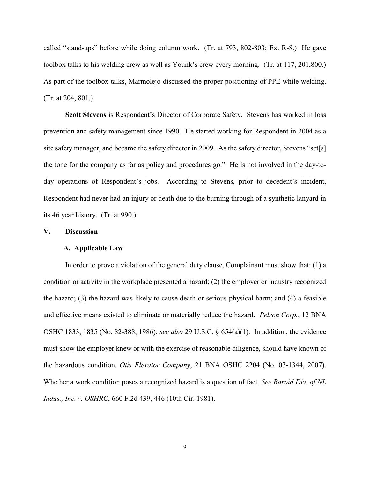called "stand-ups" before while doing column work. (Tr. at 793, 802-803; Ex. R-8.) He gave toolbox talks to his welding crew as well as Younk's crew every morning. (Tr. at 117, 201,800.) As part of the toolbox talks, Marmolejo discussed the proper positioning of PPE while welding. (Tr. at 204, 801.)

**Scott Stevens** is Respondent's Director of Corporate Safety. Stevens has worked in loss prevention and safety management since 1990. He started working for Respondent in 2004 as a site safety manager, and became the safety director in 2009. As the safety director, Stevens "set[s] the tone for the company as far as policy and procedures go." He is not involved in the day-today operations of Respondent's jobs. According to Stevens, prior to decedent's incident, Respondent had never had an injury or death due to the burning through of a synthetic lanyard in its 46 year history. (Tr. at 990.)

### **V. Discussion**

### **A. Applicable Law**

In order to prove a violation of the general duty clause, Complainant must show that: (1) a condition or activity in the workplace presented a hazard; (2) the employer or industry recognized the hazard; (3) the hazard was likely to cause death or serious physical harm; and (4) a feasible and effective means existed to eliminate or materially reduce the hazard. *Pelron Corp.*, 12 BNA OSHC 1833, 1835 (No. 82-388, 1986); *see also* 29 U.S.C. § 654(a)(1). In addition, the evidence must show the employer knew or with the exercise of reasonable diligence, should have known of the hazardous condition. *Otis Elevator Company*, 21 BNA OSHC 2204 (No. 03-1344, 2007). Whether a work condition poses a recognized hazard is a question of fact. *See Baroid Div. of NL Indus., Inc. v. OSHRC*, 660 F.2d 439, 446 (10th Cir. 1981).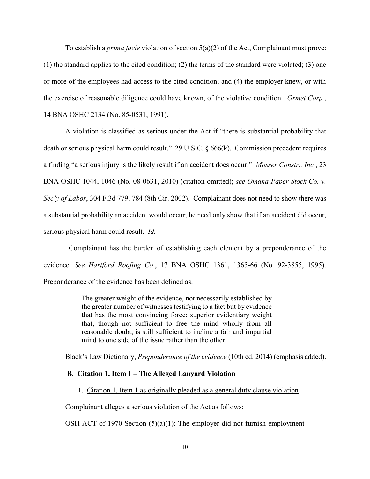To establish a *prima facie* violation of section 5(a)(2) of the Act, Complainant must prove: (1) the standard applies to the cited condition; (2) the terms of the standard were violated; (3) one or more of the employees had access to the cited condition; and (4) the employer knew, or with the exercise of reasonable diligence could have known, of the violative condition. *Ormet Corp.*, 14 BNA OSHC 2134 (No. 85-0531, 1991).

A violation is classified as serious under the Act if "there is substantial probability that death or serious physical harm could result." 29 U.S.C. § 666(k). Commission precedent requires a finding "a serious injury is the likely result if an accident does occur." *Mosser Constr., Inc.*, 23 BNA OSHC 1044, 1046 (No. 08-0631, 2010) (citation omitted); *see Omaha Paper Stock Co. v. Sec'y of Labor*, 304 F.3d 779, 784 (8th Cir. 2002). Complainant does not need to show there was a substantial probability an accident would occur; he need only show that if an accident did occur, serious physical harm could result. *Id.* 

 Complainant has the burden of establishing each element by a preponderance of the evidence. *See Hartford Roofing Co*., 17 BNA OSHC 1361, 1365-66 (No. 92-3855, 1995). Preponderance of the evidence has been defined as:

> The greater weight of the evidence, not necessarily established by the greater number of witnesses testifying to a fact but by evidence that has the most convincing force; superior evidentiary weight that, though not sufficient to free the mind wholly from all reasonable doubt, is still sufficient to incline a fair and impartial mind to one side of the issue rather than the other.

Black's Law Dictionary, *Preponderance of the evidence* (10th ed. 2014) (emphasis added).

## **B. Citation 1, Item 1 – The Alleged Lanyard Violation**

1. Citation 1, Item 1 as originally pleaded as a general duty clause violation

Complainant alleges a serious violation of the Act as follows:

OSH ACT of 1970 Section  $(5)(a)(1)$ : The employer did not furnish employment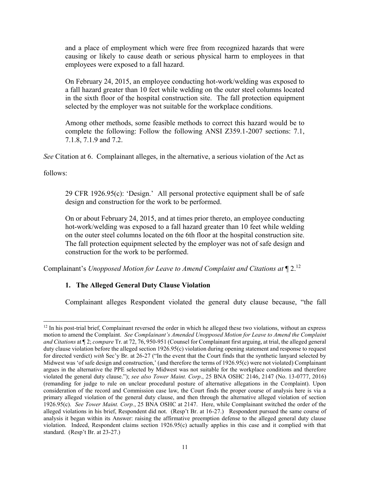and a place of employment which were free from recognized hazards that were causing or likely to cause death or serious physical harm to employees in that employees were exposed to a fall hazard.

On February 24, 2015, an employee conducting hot-work/welding was exposed to a fall hazard greater than 10 feet while welding on the outer steel columns located in the sixth floor of the hospital construction site. The fall protection equipment selected by the employer was not suitable for the workplace conditions.

Among other methods, some feasible methods to correct this hazard would be to complete the following: Follow the following ANSI Z359.1-2007 sections: 7.1, 7.1.8, 7.1.9 and 7.2.

*See* Citation at 6. Complainant alleges, in the alternative, a serious violation of the Act as

follows:

 $\overline{a}$ 

29 CFR 1926.95(c): 'Design.' All personal protective equipment shall be of safe design and construction for the work to be performed.

On or about February 24, 2015, and at times prior thereto, an employee conducting hot-work/welding was exposed to a fall hazard greater than 10 feet while welding on the outer steel columns located on the 6th floor at the hospital construction site. The fall protection equipment selected by the employer was not of safe design and construction for the work to be performed.

Complainant's *Unopposed Motion for Leave to Amend Complaint and Citations at* ¶ 2.<sup>12</sup>

# **1. The Alleged General Duty Clause Violation**

Complainant alleges Respondent violated the general duty clause because, "the fall

 $12$  In his post-trial brief, Complainant reversed the order in which he alleged these two violations, without an express motion to amend the Complaint. *See Complainant's Amended Unopposed Motion for Leave to Amend the Complaint and Citations* at ¶ 2; *compare* Tr. at 72, 76, 950-951 (Counsel for Complainant first arguing, at trial, the alleged general duty clause violation before the alleged section 1926.95(c) violation during opening statement and response to request for directed verdict) *with* Sec'y Br. at 26-27 ("In the event that the Court finds that the synthetic lanyard selected by Midwest was 'of safe design and construction,' (and therefore the terms of 1926.95(c) were not violated) Complainant argues in the alternative the PPE selected by Midwest was not suitable for the workplace conditions and therefore violated the general duty clause."); *see also Tower Maint. Corp*., 25 BNA OSHC 2146, 2147 (No. 13-0777, 2016) (remanding for judge to rule on unclear procedural posture of alternative allegations in the Complaint). Upon consideration of the record and Commission case law, the Court finds the proper course of analysis here is via a primary alleged violation of the general duty clause, and then through the alternative alleged violation of section 1926.95(c). *See Tower Maint. Corp.*, 25 BNA OSHC at 2147. Here, while Complainant switched the order of the alleged violations in his brief, Respondent did not. (Resp't Br. at 16-27.) Respondent pursued the same course of analysis it began within its Answer: raising the affirmative preemption defense to the alleged general duty clause violation. Indeed, Respondent claims section 1926.95(c) actually applies in this case and it complied with that standard. (Resp't Br. at 23-27.)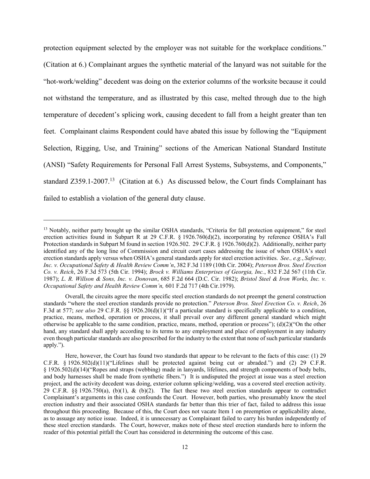protection equipment selected by the employer was not suitable for the workplace conditions." (Citation at 6.) Complainant argues the synthetic material of the lanyard was not suitable for the "hot-work/welding" decedent was doing on the exterior columns of the worksite because it could not withstand the temperature, and as illustrated by this case, melted through due to the high temperature of decedent's splicing work, causing decedent to fall from a height greater than ten feet. Complainant claims Respondent could have abated this issue by following the "Equipment Selection, Rigging, Use, and Training" sections of the American National Standard Institute (ANSI) "Safety Requirements for Personal Fall Arrest Systems, Subsystems, and Components," standard  $Z359.1-2007<sup>13</sup>$  (Citation at 6.) As discussed below, the Court finds Complainant has failed to establish a violation of the general duty clause.

<sup>&</sup>lt;sup>13</sup> Notably, neither party brought up the similar OSHA standards, "Criteria for fall protection equipment," for steel erection activities found in Subpart R at 29 C.F.R. § 1926.760(d)(2), incorporating by reference OSHA's Fall Protection standards in Subpart M found in section 1926.502. 29 C.F.R. § 1926.760(d)(2). Additionally, neither party identified any of the long line of Commission and circuit court cases addressing the issue of when OSHA's steel erection standards apply versus when OSHA's general standards apply for steel erection activities. *See., e.g.*, *Safeway, Inc. v. Occupational Safety & Health Review Comm'n*, 382 F.3d 1189 (10th Cir. 2004); *Peterson Bros. Steel Erection Co. v. Reich*, 26 F.3d 573 (5th Cir. 1994); *Brock v. Williams Enterprises of Georgia, Inc.*, 832 F.2d 567 (11th Cir. 1987); *L. R. Willson & Sons, Inc. v. Donovan*, 685 F.2d 664 (D.C. Cir. 1982); *Bristol Steel & Iron Works, Inc. v. Occupational Safety and Health Review Comm'n,* 601 F.2d 717 (4th Cir.1979).

Overall, the circuits agree the more specific steel erection standards do not preempt the general construction standards "where the steel erection standards provide no protection." *Peterson Bros. Steel Erection Co. v. Reich*, 26 F.3d at 577; see also 29 C.F.R. §§ 1926.20(d)(1)("If a particular standard is specifically applicable to a condition, practice, means, method, operation or process, it shall prevail over any different general standard which might otherwise be applicable to the same condition, practice, means, method, operation or process"); (d)(2)("On the other hand, any standard shall apply according to its terms to any employment and place of employment in any industry even though particular standards are also prescribed for the industry to the extent that none of such particular standards apply.").

Here, however, the Court has found two standards that appear to be relevant to the facts of this case: (1) 29 C.F.R. § 1926.502(d)(11)("Lifelines shall be protected against being cut or abraded.") and (2) 29 C.F.R. § 1926.502(d)(14)("Ropes and straps (webbing) made in lanyards, lifelines, and strength components of body belts, and body harnesses shall be made from synthetic fibers.") It is undisputed the project at issue was a steel erection project, and the activity decedent was doing, exterior column splicing/welding, was a covered steel erection activity. 29 C.F.R.  $\S$  1926.750(a), (b)(1), & (b)(2). The fact these two steel erection standards appear to contradict Complainant's arguments in this case confounds the Court. However, both parties, who presumably know the steel erection industry and their associated OSHA standards far better than this trier of fact, failed to address this issue throughout this proceeding. Because of this, the Court does not vacate Item 1 on preemption or applicability alone, as to assuage any notice issue. Indeed, it is unnecessary as Complainant failed to carry his burden independently of these steel erection standards. The Court, however, makes note of these steel erection standards here to inform the reader of this potential pitfall the Court has considered in determining the outcome of this case.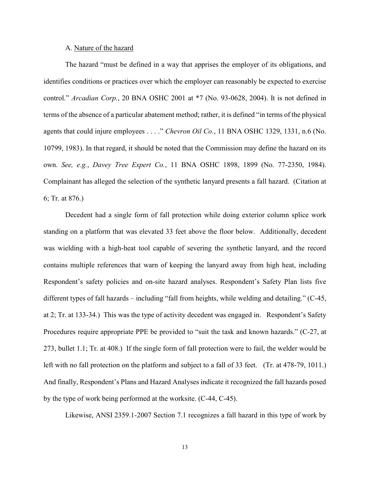#### A. Nature of the hazard

The hazard "must be defined in a way that apprises the employer of its obligations, and identifies conditions or practices over which the employer can reasonably be expected to exercise control." *Arcadian Corp.*, 20 BNA OSHC 2001 at \*7 (No. 93-0628, 2004). It is not defined in terms of the absence of a particular abatement method; rather, it is defined "in terms of the physical agents that could injure employees . . . ." *Chevron Oil Co.*, 11 BNA OSHC 1329, 1331, n.6 (No. 10799, 1983). In that regard, it should be noted that the Commission may define the hazard on its own. *See, e.g.*, *Davey Tree Expert Co.*, 11 BNA OSHC 1898, 1899 (No. 77-2350, 1984). Complainant has alleged the selection of the synthetic lanyard presents a fall hazard. (Citation at 6; Tr. at 876.)

Decedent had a single form of fall protection while doing exterior column splice work standing on a platform that was elevated 33 feet above the floor below. Additionally, decedent was wielding with a high-heat tool capable of severing the synthetic lanyard, and the record contains multiple references that warn of keeping the lanyard away from high heat, including Respondent's safety policies and on-site hazard analyses. Respondent's Safety Plan lists five different types of fall hazards – including "fall from heights, while welding and detailing." (C-45, at 2; Tr. at 133-34.) This was the type of activity decedent was engaged in. Respondent's Safety Procedures require appropriate PPE be provided to "suit the task and known hazards." (C-27, at 273, bullet 1.1; Tr. at 408.) If the single form of fall protection were to fail, the welder would be left with no fall protection on the platform and subject to a fall of 33 feet. (Tr. at 478-79, 1011.) And finally, Respondent's Plans and Hazard Analyses indicate it recognized the fall hazards posed by the type of work being performed at the worksite. (C-44, C-45).

Likewise, ANSI 2359.1-2007 Section 7.1 recognizes a fall hazard in this type of work by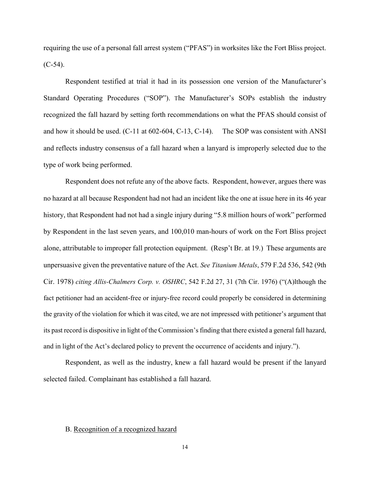requiring the use of a personal fall arrest system ("PFAS") in worksites like the Fort Bliss project.  $(C-54)$ .

Respondent testified at trial it had in its possession one version of the Manufacturer's Standard Operating Procedures ("SOP"). The Manufacturer's SOPs establish the industry recognized the fall hazard by setting forth recommendations on what the PFAS should consist of and how it should be used. (C-11 at 602-604, C-13, C-14). The SOP was consistent with ANSI and reflects industry consensus of a fall hazard when a lanyard is improperly selected due to the type of work being performed.

Respondent does not refute any of the above facts. Respondent, however, argues there was no hazard at all because Respondent had not had an incident like the one at issue here in its 46 year history, that Respondent had not had a single injury during "5.8 million hours of work" performed by Respondent in the last seven years, and 100,010 man-hours of work on the Fort Bliss project alone, attributable to improper fall protection equipment. (Resp't Br. at 19.) These arguments are unpersuasive given the preventative nature of the Act. *See Titanium Metals*, 579 F.2d 536, 542 (9th Cir. 1978) *citing Allis-Chalmers Corp. v. OSHRC*, 542 F.2d 27, 31 (7th Cir. 1976) ("(A)lthough the fact petitioner had an accident-free or injury-free record could properly be considered in determining the gravity of the violation for which it was cited, we are not impressed with petitioner's argument that its past record is dispositive in light of the Commission's finding that there existed a general fall hazard, and in light of the Act's declared policy to prevent the occurrence of accidents and injury.").

Respondent, as well as the industry, knew a fall hazard would be present if the lanyard selected failed. Complainant has established a fall hazard.

# B. Recognition of a recognized hazard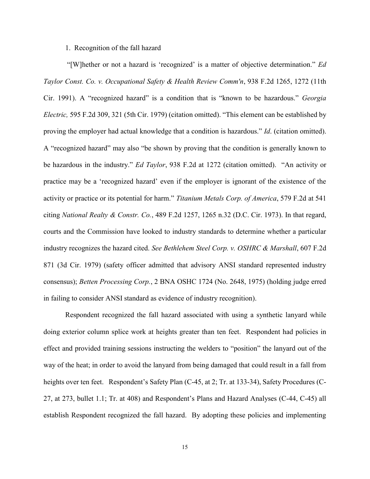## 1. Recognition of the fall hazard

"[W]hether or not a hazard is 'recognized' is a matter of objective determination." *Ed Taylor Const. Co. v. Occupational Safety & Health Review Comm'n*, 938 F.2d 1265, 1272 (11th Cir. 1991). A "recognized hazard" is a condition that is "known to be hazardous." *Georgia Electric,* 595 F.2d 309, 321 (5th Cir. 1979) (citation omitted). "This element can be established by proving the employer had actual knowledge that a condition is hazardous." *Id*. (citation omitted). A "recognized hazard" may also "be shown by proving that the condition is generally known to be hazardous in the industry." *Ed Taylor*, 938 F.2d at 1272 (citation omitted). "An activity or practice may be a 'recognized hazard' even if the employer is ignorant of the existence of the activity or practice or its potential for harm." *Titanium Metals Corp. of America*, 579 F.2d at 541 citing *National Realty & Constr. Co.*, 489 F.2d 1257, 1265 n.32 (D.C. Cir. 1973). In that regard, courts and the Commission have looked to industry standards to determine whether a particular industry recognizes the hazard cited. *See Bethlehem Steel Corp. v. OSHRC & Marshall*, 607 F.2d 871 (3d Cir. 1979) (safety officer admitted that advisory ANSI standard represented industry consensus); *Betten Processing Corp.*, 2 BNA OSHC 1724 (No. 2648, 1975) (holding judge erred in failing to consider ANSI standard as evidence of industry recognition).

Respondent recognized the fall hazard associated with using a synthetic lanyard while doing exterior column splice work at heights greater than ten feet. Respondent had policies in effect and provided training sessions instructing the welders to "position" the lanyard out of the way of the heat; in order to avoid the lanyard from being damaged that could result in a fall from heights over ten feet. Respondent's Safety Plan (C-45, at 2; Tr. at 133-34), Safety Procedures (C-27, at 273, bullet 1.1; Tr. at 408) and Respondent's Plans and Hazard Analyses (C-44, C-45) all establish Respondent recognized the fall hazard. By adopting these policies and implementing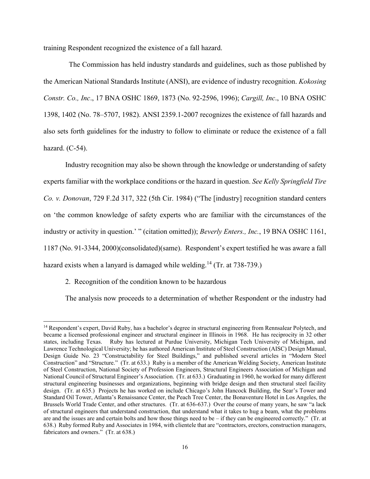training Respondent recognized the existence of a fall hazard.

 The Commission has held industry standards and guidelines, such as those published by the American National Standards Institute (ANSI), are evidence of industry recognition. *Kokosing Constr. Co., Inc*., 17 BNA OSHC 1869, 1873 (No. 92-2596, 1996); *Cargill, Inc*., 10 BNA OSHC 1398, 1402 (No. 78–5707, 1982). ANSI 2359.1-2007 recognizes the existence of fall hazards and also sets forth guidelines for the industry to follow to eliminate or reduce the existence of a fall hazard. (C-54).

Industry recognition may also be shown through the knowledge or understanding of safety experts familiar with the workplace conditions or the hazard in question. *See Kelly Springfield Tire Co. v. Donovan*, 729 F.2d 317, 322 (5th Cir. 1984) ("The [industry] recognition standard centers on 'the common knowledge of safety experts who are familiar with the circumstances of the industry or activity in question.' " (citation omitted)); *Beverly Enters., Inc.*, 19 BNA OSHC 1161, 1187 (No. 91-3344, 2000)(consolidated)(same). Respondent's expert testified he was aware a fall hazard exists when a lanyard is damaged while welding.<sup>14</sup> (Tr. at  $738-739$ .)

2. Recognition of the condition known to be hazardous

 $\overline{a}$ 

The analysis now proceeds to a determination of whether Respondent or the industry had

<sup>&</sup>lt;sup>14</sup> Respondent's expert, David Ruby, has a bachelor's degree in structural engineering from Rennsalear Polytech, and became a licensed professional engineer and structural engineer in Illinois in 1968. He has reciprocity in 32 other states, including Texas. Ruby has lectured at Purdue University, Michigan Tech University of Michigan, and Lawrence Technological University; he has authored American Institute of Steel Construction (AISC) Design Manual, Design Guide No. 23 "Constructability for Steel Buildings," and published several articles in "Modern Steel Construction" and "Structure." (Tr. at 633.) Ruby is a member of the American Welding Society, American Institute of Steel Construction, National Society of Profession Engineers, Structural Engineers Association of Michigan and National Council of Structural Engineer's Association. (Tr. at 633.) Graduating in 1960, he worked for many different structural engineering businesses and organizations, beginning with bridge design and then structural steel facility design. (Tr. at 635.) Projects he has worked on include Chicago's John Hancock Building, the Sear's Tower and Standard Oil Tower, Atlanta's Renaissance Center, the Peach Tree Center, the Bonaventure Hotel in Los Angeles, the Brussels World Trade Center, and other structures. (Tr. at 636-637.) Over the course of many years, he saw "a lack of structural engineers that understand construction, that understand what it takes to hug a beam, what the problems are and the issues are and certain bolts and how those things need to be – if they can be engineered correctly." (Tr. at 638.) Ruby formed Ruby and Associates in 1984, with clientele that are "contractors, erectors, construction managers, fabricators and owners." (Tr. at 638.)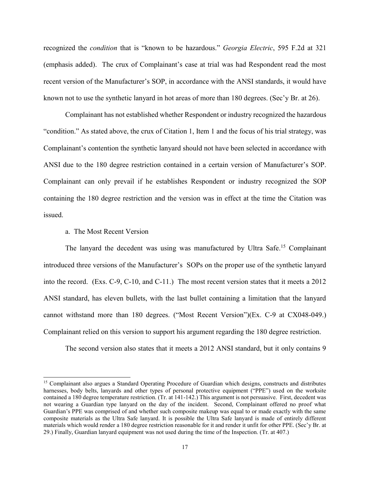recognized the *condition* that is "known to be hazardous." *Georgia Electric*, 595 F.2d at 321 (emphasis added). The crux of Complainant's case at trial was had Respondent read the most recent version of the Manufacturer's SOP, in accordance with the ANSI standards, it would have known not to use the synthetic lanyard in hot areas of more than 180 degrees. (Sec'y Br. at 26).

Complainant has not established whether Respondent or industry recognized the hazardous "condition." As stated above, the crux of Citation 1, Item 1 and the focus of his trial strategy, was Complainant's contention the synthetic lanyard should not have been selected in accordance with ANSI due to the 180 degree restriction contained in a certain version of Manufacturer's SOP. Complainant can only prevail if he establishes Respondent or industry recognized the SOP containing the 180 degree restriction and the version was in effect at the time the Citation was issued.

## a. The Most Recent Version

 $\overline{a}$ 

The lanyard the decedent was using was manufactured by Ultra Safe.<sup>15</sup> Complainant introduced three versions of the Manufacturer's SOPs on the proper use of the synthetic lanyard into the record. (Exs. C-9, C-10, and C-11.) The most recent version states that it meets a 2012 ANSI standard, has eleven bullets, with the last bullet containing a limitation that the lanyard cannot withstand more than 180 degrees. ("Most Recent Version")(Ex. C-9 at CX048-049.) Complainant relied on this version to support his argument regarding the 180 degree restriction.

The second version also states that it meets a 2012 ANSI standard, but it only contains 9

<sup>15</sup> Complainant also argues a Standard Operating Procedure of Guardian which designs, constructs and distributes harnesses, body belts, lanyards and other types of personal protective equipment ("PPE") used on the worksite contained a 180 degree temperature restriction. (Tr. at 141-142.) This argument is not persuasive. First, decedent was not wearing a Guardian type lanyard on the day of the incident. Second, Complainant offered no proof what Guardian's PPE was comprised of and whether such composite makeup was equal to or made exactly with the same composite materials as the Ultra Safe lanyard. It is possible the Ultra Safe lanyard is made of entirely different materials which would render a 180 degree restriction reasonable for it and render it unfit for other PPE. (Sec'y Br. at 29.) Finally, Guardian lanyard equipment was not used during the time of the Inspection. (Tr. at 407.)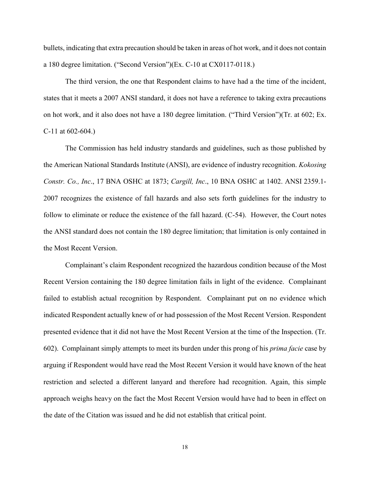bullets, indicating that extra precaution should be taken in areas of hot work, and it does not contain a 180 degree limitation. ("Second Version")(Ex. C-10 at CX0117-0118.)

The third version, the one that Respondent claims to have had a the time of the incident, states that it meets a 2007 ANSI standard, it does not have a reference to taking extra precautions on hot work, and it also does not have a 180 degree limitation. ("Third Version")(Tr. at 602; Ex. C-11 at 602-604.)

The Commission has held industry standards and guidelines, such as those published by the American National Standards Institute (ANSI), are evidence of industry recognition. *Kokosing Constr. Co., Inc*., 17 BNA OSHC at 1873; *Cargill, Inc*., 10 BNA OSHC at 1402. ANSI 2359.1- 2007 recognizes the existence of fall hazards and also sets forth guidelines for the industry to follow to eliminate or reduce the existence of the fall hazard. (C-54). However, the Court notes the ANSI standard does not contain the 180 degree limitation; that limitation is only contained in the Most Recent Version.

Complainant's claim Respondent recognized the hazardous condition because of the Most Recent Version containing the 180 degree limitation fails in light of the evidence. Complainant failed to establish actual recognition by Respondent. Complainant put on no evidence which indicated Respondent actually knew of or had possession of the Most Recent Version. Respondent presented evidence that it did not have the Most Recent Version at the time of the Inspection. (Tr. 602). Complainant simply attempts to meet its burden under this prong of his *prima facie* case by arguing if Respondent would have read the Most Recent Version it would have known of the heat restriction and selected a different lanyard and therefore had recognition. Again, this simple approach weighs heavy on the fact the Most Recent Version would have had to been in effect on the date of the Citation was issued and he did not establish that critical point.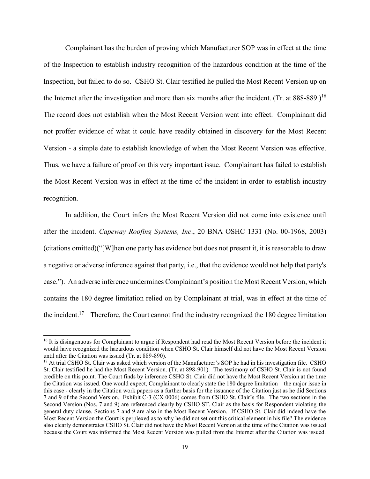Complainant has the burden of proving which Manufacturer SOP was in effect at the time of the Inspection to establish industry recognition of the hazardous condition at the time of the Inspection, but failed to do so. CSHO St. Clair testified he pulled the Most Recent Version up on the Internet after the investigation and more than six months after the incident. (Tr. at  $888-889$ .)<sup>16</sup> The record does not establish when the Most Recent Version went into effect. Complainant did not proffer evidence of what it could have readily obtained in discovery for the Most Recent Version - a simple date to establish knowledge of when the Most Recent Version was effective. Thus, we have a failure of proof on this very important issue. Complainant has failed to establish the Most Recent Version was in effect at the time of the incident in order to establish industry recognition.

In addition, the Court infers the Most Recent Version did not come into existence until after the incident. *Capeway Roofing Systems, Inc*., 20 BNA OSHC 1331 (No. 00-1968, 2003) (citations omitted)("[W]hen one party has evidence but does not present it, it is reasonable to draw a negative or adverse inference against that party, i.e., that the evidence would not help that party's case."). An adverse inference undermines Complainant's position the Most Recent Version, which contains the 180 degree limitation relied on by Complainant at trial, was in effect at the time of the incident.<sup>17</sup> Therefore, the Court cannot find the industry recognized the 180 degree limitation

<sup>&</sup>lt;sup>16</sup> It is disingenuous for Complainant to argue if Respondent had read the Most Recent Version before the incident it would have recognized the hazardous condition when CSHO St. Clair himself did not have the Most Recent Version until after the Citation was issued (Tr. at 889-890).

<sup>&</sup>lt;sup>17</sup> At trial CSHO St. Clair was asked which version of the Manufacturer's SOP he had in his investigation file. CSHO St. Clair testified he had the Most Recent Version. (Tr. at 898-901). The testimony of CSHO St. Clair is not found credible on this point. The Court finds by inference CSHO St. Clair did not have the Most Recent Version at the time the Citation was issued. One would expect, Complainant to clearly state the 180 degree limitation – the major issue in this case - clearly in the Citation work papers as a further basis for the issuance of the Citation just as he did Sections 7 and 9 of the Second Version. Exhibit C-3 (CX 0006) comes from CSHO St. Clair's file. The two sections in the Second Version (Nos. 7 and 9) are referenced clearly by CSHO ST. Clair as the basis for Respondent violating the general duty clause. Sections 7 and 9 are also in the Most Recent Version. If CSHO St. Clair did indeed have the Most Recent Version the Court is perplexed as to why he did not set out this critical element in his file? The evidence also clearly demonstrates CSHO St. Clair did not have the Most Recent Version at the time of the Citation was issued because the Court was informed the Most Recent Version was pulled from the Internet after the Citation was issued.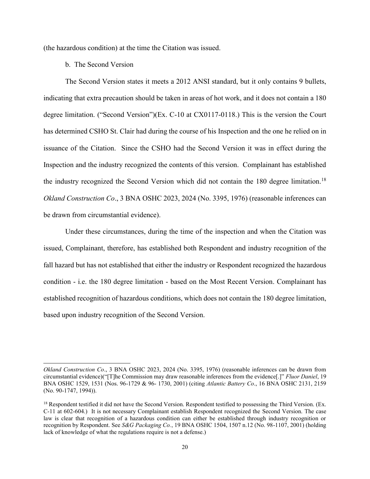(the hazardous condition) at the time the Citation was issued.

b. The Second Version

 $\overline{a}$ 

The Second Version states it meets a 2012 ANSI standard, but it only contains 9 bullets, indicating that extra precaution should be taken in areas of hot work, and it does not contain a 180 degree limitation. ("Second Version")(Ex. C-10 at CX0117-0118.) This is the version the Court has determined CSHO St. Clair had during the course of his Inspection and the one he relied on in issuance of the Citation. Since the CSHO had the Second Version it was in effect during the Inspection and the industry recognized the contents of this version. Complainant has established the industry recognized the Second Version which did not contain the 180 degree limitation.<sup>18</sup> *Okland Construction Co*., 3 BNA OSHC 2023, 2024 (No. 3395, 1976) (reasonable inferences can be drawn from circumstantial evidence).

Under these circumstances, during the time of the inspection and when the Citation was issued, Complainant, therefore, has established both Respondent and industry recognition of the fall hazard but has not established that either the industry or Respondent recognized the hazardous condition - i.e. the 180 degree limitation - based on the Most Recent Version. Complainant has established recognition of hazardous conditions, which does not contain the 180 degree limitation, based upon industry recognition of the Second Version.

*Okland Construction Co*., 3 BNA OSHC 2023, 2024 (No. 3395, 1976) (reasonable inferences can be drawn from circumstantial evidence)("[T]he Commission may draw reasonable inferences from the evidence[.]" *Fluor Daniel*, 19 BNA OSHC 1529, 1531 (Nos. 96-1729 & 96- 1730, 2001) (citing *Atlantic Battery Co*., 16 BNA OSHC 2131, 2159 (No. 90-1747, 1994)).

<sup>&</sup>lt;sup>18</sup> Respondent testified it did not have the Second Version. Respondent testified to possessing the Third Version. (Ex. C-11 at 602-604.) It is not necessary Complainant establish Respondent recognized the Second Version. The case law is clear that recognition of a hazardous condition can either be established through industry recognition or recognition by Respondent. See *S&G Packaging Co.*, 19 BNA OSHC 1504, 1507 n.12 (No. 98-1107, 2001) (holding lack of knowledge of what the regulations require is not a defense.)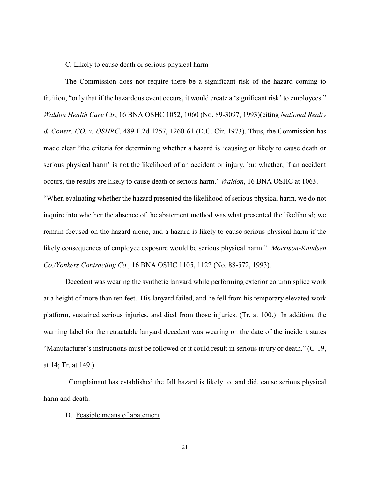## C. Likely to cause death or serious physical harm

The Commission does not require there be a significant risk of the hazard coming to fruition, "only that if the hazardous event occurs, it would create a 'significant risk' to employees." *Waldon Health Care Ctr*, 16 BNA OSHC 1052, 1060 (No. 89-3097, 1993)(citing *National Realty & Constr. CO. v. OSHRC*, 489 F.2d 1257, 1260-61 (D.C. Cir. 1973). Thus, the Commission has made clear "the criteria for determining whether a hazard is 'causing or likely to cause death or serious physical harm' is not the likelihood of an accident or injury, but whether, if an accident occurs, the results are likely to cause death or serious harm." *Waldon*, 16 BNA OSHC at 1063. "When evaluating whether the hazard presented the likelihood of serious physical harm, we do not inquire into whether the absence of the abatement method was what presented the likelihood; we remain focused on the hazard alone, and a hazard is likely to cause serious physical harm if the likely consequences of employee exposure would be serious physical harm." *Morrison-Knudsen Co./Yonkers Contracting Co.*, 16 BNA OSHC 1105, 1122 (No. 88-572, 1993).

Decedent was wearing the synthetic lanyard while performing exterior column splice work at a height of more than ten feet. His lanyard failed, and he fell from his temporary elevated work platform, sustained serious injuries, and died from those injuries. (Tr. at 100.) In addition, the warning label for the retractable lanyard decedent was wearing on the date of the incident states "Manufacturer's instructions must be followed or it could result in serious injury or death." (C-19, at 14; Tr. at 149.)

 Complainant has established the fall hazard is likely to, and did, cause serious physical harm and death.

## D. Feasible means of abatement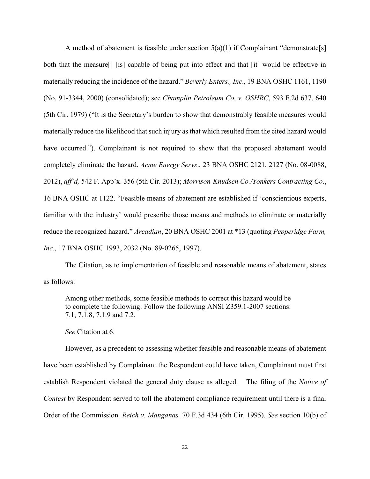A method of abatement is feasible under section  $5(a)(1)$  if Complainant "demonstrate[s] both that the measure[] [is] capable of being put into effect and that [it] would be effective in materially reducing the incidence of the hazard." *Beverly Enters., Inc*., 19 BNA OSHC 1161, 1190 (No. 91-3344, 2000) (consolidated); see *Champlin Petroleum Co. v. OSHRC*, 593 F.2d 637, 640 (5th Cir. 1979) ("It is the Secretary's burden to show that demonstrably feasible measures would materially reduce the likelihood that such injury as that which resulted from the cited hazard would have occurred."). Complainant is not required to show that the proposed abatement would completely eliminate the hazard. *Acme Energy Servs*., 23 BNA OSHC 2121, 2127 (No. 08-0088, 2012), *aff'd,* 542 F. App'x. 356 (5th Cir. 2013); *Morrison-Knudsen Co./Yonkers Contracting Co*., 16 BNA OSHC at 1122. "Feasible means of abatement are established if 'conscientious experts, familiar with the industry' would prescribe those means and methods to eliminate or materially reduce the recognized hazard." *Arcadian*, 20 BNA OSHC 2001 at \*13 (quoting *Pepperidge Farm, Inc.*, 17 BNA OSHC 1993, 2032 (No. 89-0265, 1997).

The Citation, as to implementation of feasible and reasonable means of abatement, states as follows:

Among other methods, some feasible methods to correct this hazard would be to complete the following: Follow the following ANSI Z359.1-2007 sections: 7.1, 7.1.8, 7.1.9 and 7.2.

*See* Citation at 6.

However, as a precedent to assessing whether feasible and reasonable means of abatement have been established by Complainant the Respondent could have taken, Complainant must first establish Respondent violated the general duty clause as alleged. The filing of the *Notice of Contest* by Respondent served to toll the abatement compliance requirement until there is a final Order of the Commission. *Reich v. Manganas,* 70 F.3d 434 (6th Cir. 1995). *See* section 10(b) of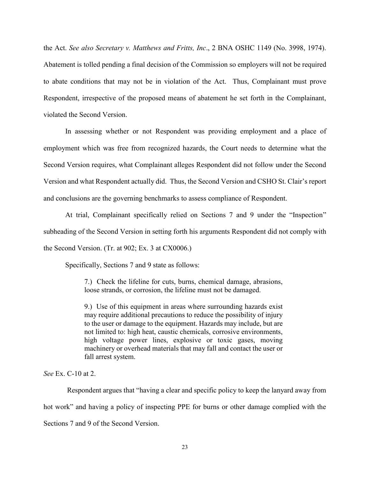the Act. *See also Secretary v. Matthews and Fritts, Inc*., 2 BNA OSHC 1149 (No. 3998, 1974). Abatement is tolled pending a final decision of the Commission so employers will not be required to abate conditions that may not be in violation of the Act. Thus, Complainant must prove Respondent, irrespective of the proposed means of abatement he set forth in the Complainant, violated the Second Version.

In assessing whether or not Respondent was providing employment and a place of employment which was free from recognized hazards, the Court needs to determine what the Second Version requires, what Complainant alleges Respondent did not follow under the Second Version and what Respondent actually did. Thus, the Second Version and CSHO St. Clair's report and conclusions are the governing benchmarks to assess compliance of Respondent.

At trial, Complainant specifically relied on Sections 7 and 9 under the "Inspection" subheading of the Second Version in setting forth his arguments Respondent did not comply with the Second Version. (Tr. at 902; Ex. 3 at CX0006.)

Specifically, Sections 7 and 9 state as follows:

7.) Check the lifeline for cuts, burns, chemical damage, abrasions, loose strands, or corrosion, the lifeline must not be damaged.

9.) Use of this equipment in areas where surrounding hazards exist may require additional precautions to reduce the possibility of injury to the user or damage to the equipment. Hazards may include, but are not limited to: high heat, caustic chemicals, corrosive environments, high voltage power lines, explosive or toxic gases, moving machinery or overhead materials that may fall and contact the user or fall arrest system.

*See* Ex. C-10 at 2.

Respondent argues that "having a clear and specific policy to keep the lanyard away from hot work" and having a policy of inspecting PPE for burns or other damage complied with the Sections 7 and 9 of the Second Version.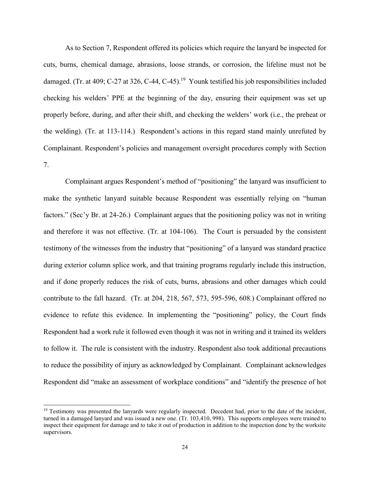As to Section 7, Respondent offered its policies which require the lanyard be inspected for cuts, burns, chemical damage, abrasions, loose strands, or corrosion, the lifeline must not be damaged. (Tr. at 409; C-27 at 326, C-44, C-45).<sup>19</sup> Younk testified his job responsibilities included checking his welders' PPE at the beginning of the day, ensuring their equipment was set up properly before, during, and after their shift, and checking the welders' work (i.e., the preheat or the welding). (Tr. at 113-114.) Respondent's actions in this regard stand mainly unrefuted by Complainant. Respondent's policies and management oversight procedures comply with Section 7.

Complainant argues Respondent's method of "positioning" the lanyard was insufficient to make the synthetic lanyard suitable because Respondent was essentially relying on "human factors." (Sec'y Br. at 24-26.) Complainant argues that the positioning policy was not in writing and therefore it was not effective. (Tr. at 104-106). The Court is persuaded by the consistent testimony of the witnesses from the industry that "positioning" of a lanyard was standard practice during exterior column splice work, and that training programs regularly include this instruction, and if done properly reduces the risk of cuts, burns, abrasions and other damages which could contribute to the fall hazard. (Tr. at 204, 218, 567, 573, 595-596, 608.) Complainant offered no evidence to refute this evidence. In implementing the "positioning" policy, the Court finds Respondent had a work rule it followed even though it was not in writing and it trained its welders to follow it. The rule is consistent with the industry. Respondent also took additional precautions to reduce the possibility of injury as acknowledged by Complainant. Complainant acknowledges Respondent did "make an assessment of workplace conditions" and "identify the presence of hot

 $19$  Testimony was presented the lanyards were regularly inspected. Decedent had, prior to the date of the incident, turned in a damaged lanyard and was issued a new one. (Tr. 103,410, 998). This supports employees were trained to inspect their equipment for damage and to take it out of production in addition to the inspection done by the worksite supervisors.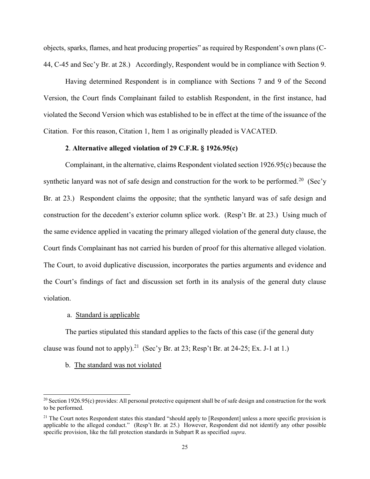objects, sparks, flames, and heat producing properties" as required by Respondent's own plans (C-44, C-45 and Sec'y Br. at 28.) Accordingly, Respondent would be in compliance with Section 9.

Having determined Respondent is in compliance with Sections 7 and 9 of the Second Version, the Court finds Complainant failed to establish Respondent, in the first instance, had violated the Second Version which was established to be in effect at the time of the issuance of the Citation. For this reason, Citation 1, Item 1 as originally pleaded is VACATED.

## **2**. **Alternative alleged violation of 29 C.F.R. § 1926.95(c)**

Complainant, in the alternative, claims Respondent violated section 1926.95(c) because the synthetic lanyard was not of safe design and construction for the work to be performed.<sup>20</sup> (Sec'y Br. at 23.) Respondent claims the opposite; that the synthetic lanyard was of safe design and construction for the decedent's exterior column splice work. (Resp't Br. at 23.) Using much of the same evidence applied in vacating the primary alleged violation of the general duty clause, the Court finds Complainant has not carried his burden of proof for this alternative alleged violation. The Court, to avoid duplicative discussion, incorporates the parties arguments and evidence and the Court's findings of fact and discussion set forth in its analysis of the general duty clause violation.

### a. Standard is applicable

The parties stipulated this standard applies to the facts of this case (if the general duty clause was found not to apply).<sup>21</sup> (Sec'y Br. at 23; Resp't Br. at 24-25; Ex. J-1 at 1.)

## b. The standard was not violated

<sup>&</sup>lt;sup>20</sup> Section 1926.95(c) provides: All personal protective equipment shall be of safe design and construction for the work to be performed.

 $21$  The Court notes Respondent states this standard "should apply to [Respondent] unless a more specific provision is applicable to the alleged conduct." (Resp't Br. at 25.) However, Respondent did not identify any other possible specific provision, like the fall protection standards in Subpart R as specified *supra*.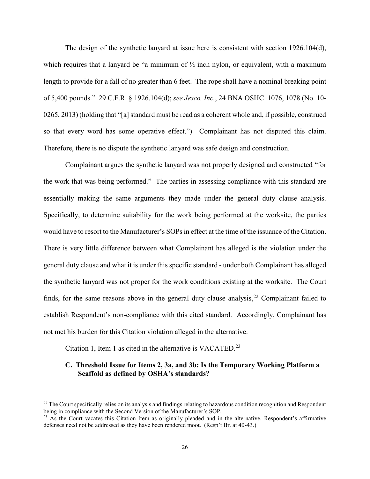The design of the synthetic lanyard at issue here is consistent with section 1926.104(d), which requires that a lanyard be "a minimum of  $\frac{1}{2}$  inch nylon, or equivalent, with a maximum length to provide for a fall of no greater than 6 feet. The rope shall have a nominal breaking point of 5,400 pounds." 29 C.F.R. § 1926.104(d); *see Jesco, Inc.*, 24 BNA OSHC 1076, 1078 (No. 10- 0265, 2013) (holding that "[a] standard must be read as a coherent whole and, if possible, construed so that every word has some operative effect.") Complainant has not disputed this claim. Therefore, there is no dispute the synthetic lanyard was safe design and construction.

Complainant argues the synthetic lanyard was not properly designed and constructed "for the work that was being performed." The parties in assessing compliance with this standard are essentially making the same arguments they made under the general duty clause analysis. Specifically, to determine suitability for the work being performed at the worksite, the parties would have to resort to the Manufacturer's SOPs in effect at the time of the issuance of the Citation. There is very little difference between what Complainant has alleged is the violation under the general duty clause and what it is under this specific standard - under both Complainant has alleged the synthetic lanyard was not proper for the work conditions existing at the worksite. The Court finds, for the same reasons above in the general duty clause analysis,<sup>22</sup> Complainant failed to establish Respondent's non-compliance with this cited standard. Accordingly, Complainant has not met his burden for this Citation violation alleged in the alternative.

Citation 1, Item 1 as cited in the alternative is VACATED.<sup>23</sup>

 $\overline{a}$ 

# **C. Threshold Issue for Items 2, 3a, and 3b: Is the Temporary Working Platform a Scaffold as defined by OSHA's standards?**

 $22$  The Court specifically relies on its analysis and findings relating to hazardous condition recognition and Respondent being in compliance with the Second Version of the Manufacturer's SOP.

<sup>&</sup>lt;sup>23</sup> As the Court vacates this Citation Item as originally pleaded and in the alternative, Respondent's affirmative defenses need not be addressed as they have been rendered moot. (Resp't Br. at 40-43.)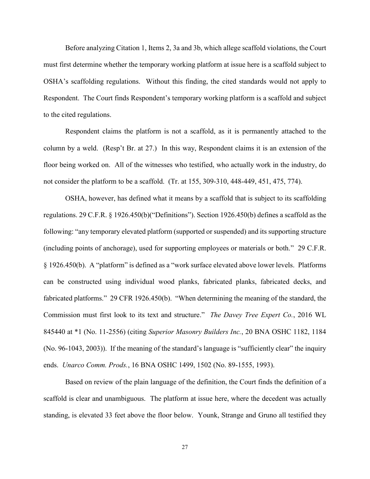Before analyzing Citation 1, Items 2, 3a and 3b, which allege scaffold violations, the Court must first determine whether the temporary working platform at issue here is a scaffold subject to OSHA's scaffolding regulations. Without this finding, the cited standards would not apply to Respondent. The Court finds Respondent's temporary working platform is a scaffold and subject to the cited regulations.

Respondent claims the platform is not a scaffold, as it is permanently attached to the column by a weld. (Resp't Br. at 27.) In this way, Respondent claims it is an extension of the floor being worked on. All of the witnesses who testified, who actually work in the industry, do not consider the platform to be a scaffold. (Tr. at 155, 309-310, 448-449, 451, 475, 774).

OSHA, however, has defined what it means by a scaffold that is subject to its scaffolding regulations. 29 C.F.R. § 1926.450(b)("Definitions"). Section 1926.450(b) defines a scaffold as the following: "any temporary elevated platform (supported or suspended) and its supporting structure (including points of anchorage), used for supporting employees or materials or both." 29 C.F.R. § 1926.450(b). A "platform" is defined as a "work surface elevated above lower levels. Platforms can be constructed using individual wood planks, fabricated planks, fabricated decks, and fabricated platforms." 29 CFR 1926.450(b). "When determining the meaning of the standard, the Commission must first look to its text and structure." *The Davey Tree Expert Co.*, 2016 WL 845440 at \*1 (No. 11-2556) (citing *Superior Masonry Builders Inc.*, 20 BNA OSHC 1182, 1184 (No. 96-1043, 2003)). If the meaning of the standard's language is "sufficiently clear" the inquiry ends. *Unarco Comm. Prods.*, 16 BNA OSHC 1499, 1502 (No. 89-1555, 1993).

Based on review of the plain language of the definition, the Court finds the definition of a scaffold is clear and unambiguous. The platform at issue here, where the decedent was actually standing, is elevated 33 feet above the floor below. Younk, Strange and Gruno all testified they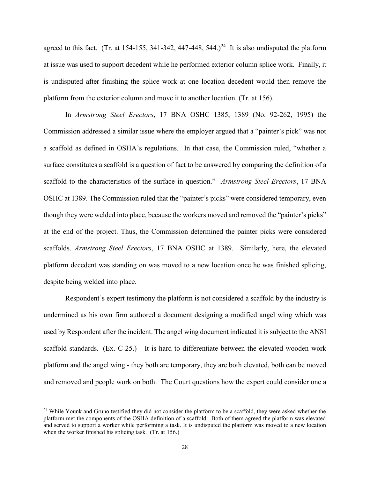agreed to this fact. (Tr. at 154-155, 341-342, 447-448, 544.)<sup>24</sup> It is also undisputed the platform at issue was used to support decedent while he performed exterior column splice work. Finally, it is undisputed after finishing the splice work at one location decedent would then remove the platform from the exterior column and move it to another location. (Tr. at 156).

In *Armstrong Steel Erectors*, 17 BNA OSHC 1385, 1389 (No. 92-262, 1995) the Commission addressed a similar issue where the employer argued that a "painter's pick" was not a scaffold as defined in OSHA's regulations. In that case, the Commission ruled, "whether a surface constitutes a scaffold is a question of fact to be answered by comparing the definition of a scaffold to the characteristics of the surface in question." *Armstrong Steel Erectors*, 17 BNA OSHC at 1389. The Commission ruled that the "painter's picks" were considered temporary, even though they were welded into place, because the workers moved and removed the "painter's picks" at the end of the project. Thus, the Commission determined the painter picks were considered scaffolds. *Armstrong Steel Erectors*, 17 BNA OSHC at 1389. Similarly, here, the elevated platform decedent was standing on was moved to a new location once he was finished splicing, despite being welded into place.

Respondent's expert testimony the platform is not considered a scaffold by the industry is undermined as his own firm authored a document designing a modified angel wing which was used by Respondent after the incident. The angel wing document indicated it is subject to the ANSI scaffold standards. (Ex. C-25.) It is hard to differentiate between the elevated wooden work platform and the angel wing - they both are temporary, they are both elevated, both can be moved and removed and people work on both. The Court questions how the expert could consider one a

<sup>&</sup>lt;sup>24</sup> While Younk and Gruno testified they did not consider the platform to be a scaffold, they were asked whether the platform met the components of the OSHA definition of a scaffold. Both of them agreed the platform was elevated and served to support a worker while performing a task. It is undisputed the platform was moved to a new location when the worker finished his splicing task. (Tr. at 156.)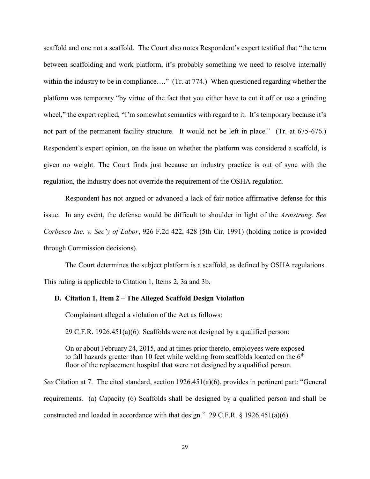scaffold and one not a scaffold. The Court also notes Respondent's expert testified that "the term between scaffolding and work platform, it's probably something we need to resolve internally within the industry to be in compliance...." (Tr. at 774.) When questioned regarding whether the platform was temporary "by virtue of the fact that you either have to cut it off or use a grinding wheel," the expert replied, "I'm somewhat semantics with regard to it. It's temporary because it's not part of the permanent facility structure. It would not be left in place." (Tr. at 675-676.) Respondent's expert opinion, on the issue on whether the platform was considered a scaffold, is given no weight. The Court finds just because an industry practice is out of sync with the regulation, the industry does not override the requirement of the OSHA regulation.

Respondent has not argued or advanced a lack of fair notice affirmative defense for this issue. In any event, the defense would be difficult to shoulder in light of the *Armstrong. See Corbesco Inc. v. Sec'y of Labor*, 926 F.2d 422, 428 (5th Cir. 1991) (holding notice is provided through Commission decisions).

The Court determines the subject platform is a scaffold, as defined by OSHA regulations. This ruling is applicable to Citation 1, Items 2, 3a and 3b.

### **D. Citation 1, Item 2 – The Alleged Scaffold Design Violation**

Complainant alleged a violation of the Act as follows:

29 C.F.R. 1926.451(a)(6): Scaffolds were not designed by a qualified person:

On or about February 24, 2015, and at times prior thereto, employees were exposed to fall hazards greater than 10 feet while welding from scaffolds located on the  $6<sup>th</sup>$ floor of the replacement hospital that were not designed by a qualified person.

*See* Citation at 7. The cited standard, section 1926.451(a)(6), provides in pertinent part: "General requirements. (a) Capacity (6) Scaffolds shall be designed by a qualified person and shall be constructed and loaded in accordance with that design." 29 C.F.R. § 1926.451(a)(6).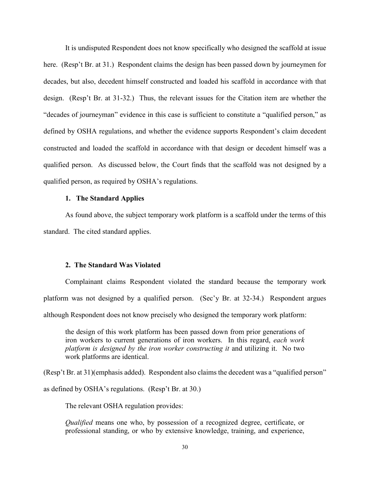It is undisputed Respondent does not know specifically who designed the scaffold at issue here. (Resp't Br. at 31.) Respondent claims the design has been passed down by journeymen for decades, but also, decedent himself constructed and loaded his scaffold in accordance with that design. (Resp't Br. at 31-32.) Thus, the relevant issues for the Citation item are whether the "decades of journeyman" evidence in this case is sufficient to constitute a "qualified person," as defined by OSHA regulations, and whether the evidence supports Respondent's claim decedent constructed and loaded the scaffold in accordance with that design or decedent himself was a qualified person. As discussed below, the Court finds that the scaffold was not designed by a qualified person, as required by OSHA's regulations.

#### **1. The Standard Applies**

As found above, the subject temporary work platform is a scaffold under the terms of this standard. The cited standard applies.

### **2. The Standard Was Violated**

Complainant claims Respondent violated the standard because the temporary work platform was not designed by a qualified person. (Sec'y Br. at 32-34.) Respondent argues although Respondent does not know precisely who designed the temporary work platform:

the design of this work platform has been passed down from prior generations of iron workers to current generations of iron workers. In this regard, *each work platform is designed by the iron worker constructing it* and utilizing it. No two work platforms are identical.

(Resp't Br. at 31)(emphasis added). Respondent also claims the decedent was a "qualified person"

as defined by OSHA's regulations. (Resp't Br. at 30.)

The relevant OSHA regulation provides:

*Qualified* means one who, by possession of a recognized degree, certificate, or professional standing, or who by extensive knowledge, training, and experience,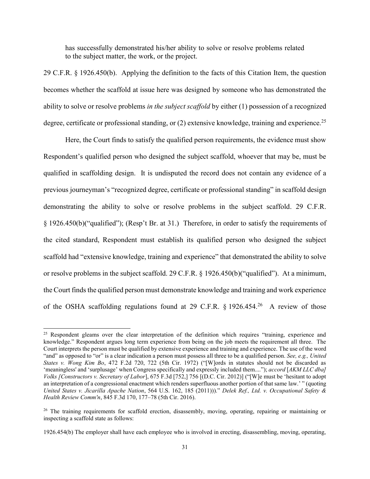has successfully demonstrated his/her ability to solve or resolve problems related to the subject matter, the work, or the project.

29 C.F.R. § 1926.450(b). Applying the definition to the facts of this Citation Item, the question becomes whether the scaffold at issue here was designed by someone who has demonstrated the ability to solve or resolve problems *in the subject scaffold* by either (1) possession of a recognized degree, certificate or professional standing, or  $(2)$  extensive knowledge, training and experience.<sup>25</sup>

Here, the Court finds to satisfy the qualified person requirements, the evidence must show Respondent's qualified person who designed the subject scaffold, whoever that may be, must be qualified in scaffolding design. It is undisputed the record does not contain any evidence of a previous journeyman's "recognized degree, certificate or professional standing" in scaffold design demonstrating the ability to solve or resolve problems in the subject scaffold. 29 C.F.R. § 1926.450(b)("qualified"); (Resp't Br. at 31.) Therefore, in order to satisfy the requirements of the cited standard, Respondent must establish its qualified person who designed the subject scaffold had "extensive knowledge, training and experience" that demonstrated the ability to solve or resolve problems in the subject scaffold. 29 C.F.R. § 1926.450(b)("qualified"). At a minimum, the Court finds the qualified person must demonstrate knowledge and training and work experience of the OSHA scaffolding regulations found at 29 C.F.R.  $\S 1926.454.^{26}$  A review of those

<sup>&</sup>lt;sup>25</sup> Respondent gleams over the clear interpretation of the definition which requires "training, experience and knowledge." Respondent argues long term experience from being on the job meets the requirement all three. The Court interprets the person must be qualified by extensive experience and training and experience. The use of the word "and" as opposed to "or" is a clear indication a person must possess all three to be a qualified person. *See, e.g., United States v. Wong Kim Bo*, 472 F.2d 720, 722 (5th Cir. 1972) ("[W]ords in statutes should not be discarded as 'meaningless' and 'surplusage' when Congress specifically and expressly included them...."); *accord* [*AKM LLC dba] Volks [Constructors v. Secretary of Labor*], 675 F.3d [752,] 756 [(D.C. Cir. 2012)] ("[W]e must be 'hesitant to adopt an interpretation of a congressional enactment which renders superfluous another portion of that same law.' " (quoting *United States v. Jicarilla Apache Nation*, 564 U.S. 162, 185 (2011)))." *Delek Ref., Ltd. v. Occupational Safety & Health Review Comm'n*, 845 F.3d 170, 177–78 (5th Cir. 2016).

<sup>&</sup>lt;sup>26</sup> The training requirements for scaffold erection, disassembly, moving, operating, repairing or maintaining or inspecting a scaffold state as follows:

<sup>1926.454(</sup>b) The employer shall have each employee who is involved in erecting, disassembling, moving, operating,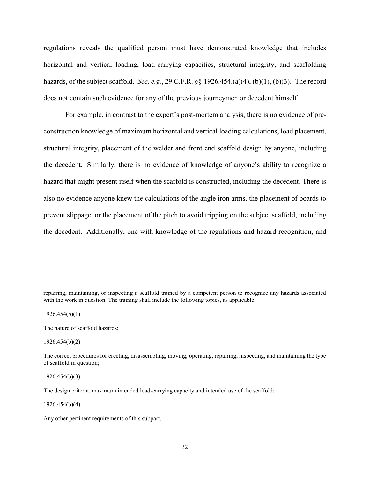regulations reveals the qualified person must have demonstrated knowledge that includes horizontal and vertical loading, load-carrying capacities, structural integrity, and scaffolding hazards, of the subject scaffold. *See, e.g.*, 29 C.F.R. §§ 1926.454.(a)(4), (b)(1), (b)(3). The record does not contain such evidence for any of the previous journeymen or decedent himself.

For example, in contrast to the expert's post-mortem analysis, there is no evidence of preconstruction knowledge of maximum horizontal and vertical loading calculations, load placement, structural integrity, placement of the welder and front end scaffold design by anyone, including the decedent. Similarly, there is no evidence of knowledge of anyone's ability to recognize a hazard that might present itself when the scaffold is constructed, including the decedent. There is also no evidence anyone knew the calculations of the angle iron arms, the placement of boards to prevent slippage, or the placement of the pitch to avoid tripping on the subject scaffold, including the decedent. Additionally, one with knowledge of the regulations and hazard recognition, and

1926.454(b)(1)

 $\overline{a}$ 

1926.454(b)(2)

1926.454(b)(3)

1926.454(b)(4)

repairing, maintaining, or inspecting a scaffold trained by a competent person to recognize any hazards associated with the work in question. The training shall include the following topics, as applicable:

The nature of scaffold hazards;

The correct procedures for erecting, disassembling, moving, operating, repairing, inspecting, and maintaining the type of scaffold in question;

The design criteria, maximum intended load-carrying capacity and intended use of the scaffold;

Any other pertinent requirements of this subpart.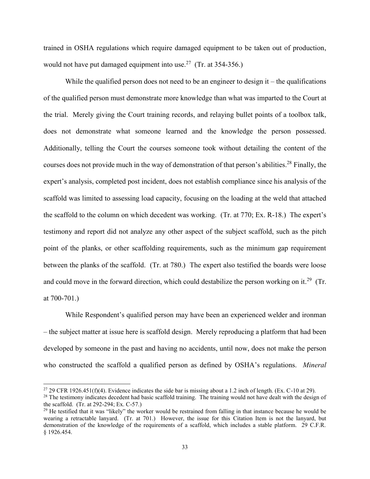trained in OSHA regulations which require damaged equipment to be taken out of production, would not have put damaged equipment into use.<sup>27</sup> (Tr. at 354-356.)

While the qualified person does not need to be an engineer to design it – the qualifications of the qualified person must demonstrate more knowledge than what was imparted to the Court at the trial. Merely giving the Court training records, and relaying bullet points of a toolbox talk, does not demonstrate what someone learned and the knowledge the person possessed. Additionally, telling the Court the courses someone took without detailing the content of the courses does not provide much in the way of demonstration of that person's abilities.<sup>28</sup> Finally, the expert's analysis, completed post incident, does not establish compliance since his analysis of the scaffold was limited to assessing load capacity, focusing on the loading at the weld that attached the scaffold to the column on which decedent was working. (Tr. at 770; Ex. R-18.) The expert's testimony and report did not analyze any other aspect of the subject scaffold, such as the pitch point of the planks, or other scaffolding requirements, such as the minimum gap requirement between the planks of the scaffold. (Tr. at 780.) The expert also testified the boards were loose and could move in the forward direction, which could destabilize the person working on it.<sup>29</sup> (Tr. at 700-701.)

While Respondent's qualified person may have been an experienced welder and ironman – the subject matter at issue here is scaffold design. Merely reproducing a platform that had been developed by someone in the past and having no accidents, until now, does not make the person who constructed the scaffold a qualified person as defined by OSHA's regulations. *Mineral* 

<sup>&</sup>lt;sup>27</sup> 29 CFR 1926.451(f)(4). Evidence indicates the side bar is missing about a 1.2 inch of length. (Ex. C-10 at 29).

<sup>&</sup>lt;sup>28</sup> The testimony indicates decedent had basic scaffold training. The training would not have dealt with the design of the scaffold. (Tr. at 292-294; Ex. C-57.)

 $29$  He testified that it was "likely" the worker would be restrained from falling in that instance because he would be wearing a retractable lanyard. (Tr. at 701.) However, the issue for this Citation Item is not the lanyard, but demonstration of the knowledge of the requirements of a scaffold, which includes a stable platform. 29 C.F.R. § 1926.454.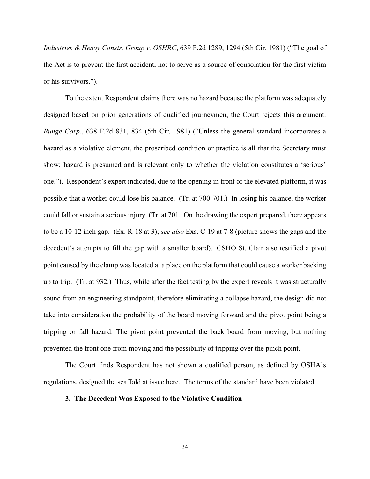*Industries & Heavy Constr. Group v. OSHRC*, 639 F.2d 1289, 1294 (5th Cir. 1981) ("The goal of the Act is to prevent the first accident, not to serve as a source of consolation for the first victim or his survivors.").

To the extent Respondent claims there was no hazard because the platform was adequately designed based on prior generations of qualified journeymen, the Court rejects this argument. *Bunge Corp.*, 638 F.2d 831, 834 (5th Cir. 1981) ("Unless the general standard incorporates a hazard as a violative element, the proscribed condition or practice is all that the Secretary must show; hazard is presumed and is relevant only to whether the violation constitutes a 'serious' one."). Respondent's expert indicated, due to the opening in front of the elevated platform, it was possible that a worker could lose his balance. (Tr. at 700-701.) In losing his balance, the worker could fall or sustain a serious injury. (Tr. at 701. On the drawing the expert prepared, there appears to be a 10-12 inch gap. (Ex. R-18 at 3); *see also* Exs. C-19 at 7-8 (picture shows the gaps and the decedent's attempts to fill the gap with a smaller board). CSHO St. Clair also testified a pivot point caused by the clamp was located at a place on the platform that could cause a worker backing up to trip. (Tr. at 932.) Thus, while after the fact testing by the expert reveals it was structurally sound from an engineering standpoint, therefore eliminating a collapse hazard, the design did not take into consideration the probability of the board moving forward and the pivot point being a tripping or fall hazard. The pivot point prevented the back board from moving, but nothing prevented the front one from moving and the possibility of tripping over the pinch point.

The Court finds Respondent has not shown a qualified person, as defined by OSHA's regulations, designed the scaffold at issue here. The terms of the standard have been violated.

### **3. The Decedent Was Exposed to the Violative Condition**

34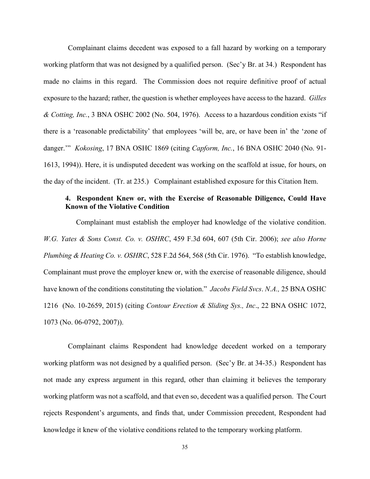Complainant claims decedent was exposed to a fall hazard by working on a temporary working platform that was not designed by a qualified person. (Sec'y Br. at 34.) Respondent has made no claims in this regard. The Commission does not require definitive proof of actual exposure to the hazard; rather, the question is whether employees have access to the hazard. *Gilles & Cotting, Inc.*, 3 BNA OSHC 2002 (No. 504, 1976). Access to a hazardous condition exists "if there is a 'reasonable predictability' that employees 'will be, are, or have been in' the 'zone of danger.'" *Kokosing*, 17 BNA OSHC 1869 (citing *Capform, Inc.*, 16 BNA OSHC 2040 (No. 91- 1613, 1994)). Here, it is undisputed decedent was working on the scaffold at issue, for hours, on the day of the incident. (Tr. at 235.) Complainant established exposure for this Citation Item.

# **4. Respondent Knew or, with the Exercise of Reasonable Diligence, Could Have Known of the Violative Condition**

Complainant must establish the employer had knowledge of the violative condition. *W.G. Yates & Sons Const. Co. v. OSHRC*, 459 F.3d 604, 607 (5th Cir. 2006); *see also Horne Plumbing & Heating Co. v. OSHRC*, 528 F.2d 564, 568 (5th Cir. 1976). "To establish knowledge, Complainant must prove the employer knew or, with the exercise of reasonable diligence, should have known of the conditions constituting the violation." *Jacobs Field Svcs*. *N.A.,* 25 BNA OSHC 1216 (No. 10-2659, 2015) (citing *Contour Erection & Sliding Sys., Inc*., 22 BNA OSHC 1072, 1073 (No. 06-0792, 2007)).

Complainant claims Respondent had knowledge decedent worked on a temporary working platform was not designed by a qualified person. (Sec'y Br. at 34-35.) Respondent has not made any express argument in this regard, other than claiming it believes the temporary working platform was not a scaffold, and that even so, decedent was a qualified person. The Court rejects Respondent's arguments, and finds that, under Commission precedent, Respondent had knowledge it knew of the violative conditions related to the temporary working platform.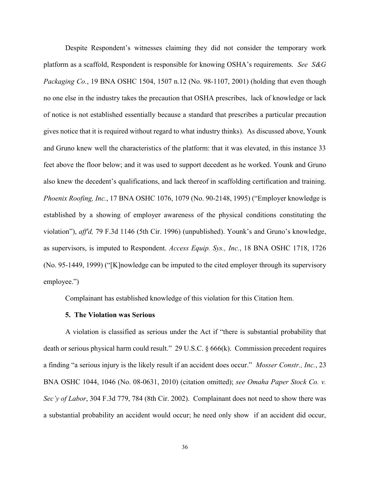Despite Respondent's witnesses claiming they did not consider the temporary work platform as a scaffold, Respondent is responsible for knowing OSHA's requirements. *See S&G Packaging Co.*, 19 BNA OSHC 1504, 1507 n.12 (No. 98-1107, 2001) (holding that even though no one else in the industry takes the precaution that OSHA prescribes, lack of knowledge or lack of notice is not established essentially because a standard that prescribes a particular precaution gives notice that it is required without regard to what industry thinks). As discussed above, Younk and Gruno knew well the characteristics of the platform: that it was elevated, in this instance 33 feet above the floor below; and it was used to support decedent as he worked. Younk and Gruno also knew the decedent's qualifications, and lack thereof in scaffolding certification and training. *Phoenix Roofing, Inc.*, 17 BNA OSHC 1076, 1079 (No. 90-2148, 1995) ("Employer knowledge is established by a showing of employer awareness of the physical conditions constituting the violation"), *aff'd,* 79 F.3d 1146 (5th Cir. 1996) (unpublished). Younk's and Gruno's knowledge, as supervisors, is imputed to Respondent. *Access Equip. Sys., Inc.*, 18 BNA OSHC 1718, 1726 (No. 95-1449, 1999) ("[K]nowledge can be imputed to the cited employer through its supervisory employee.")

Complainant has established knowledge of this violation for this Citation Item.

### **5. The Violation was Serious**

A violation is classified as serious under the Act if "there is substantial probability that death or serious physical harm could result." 29 U.S.C. § 666(k). Commission precedent requires a finding "a serious injury is the likely result if an accident does occur." *Mosser Constr., Inc.*, 23 BNA OSHC 1044, 1046 (No. 08-0631, 2010) (citation omitted); *see Omaha Paper Stock Co. v. Sec'y of Labor*, 304 F.3d 779, 784 (8th Cir. 2002). Complainant does not need to show there was a substantial probability an accident would occur; he need only show if an accident did occur,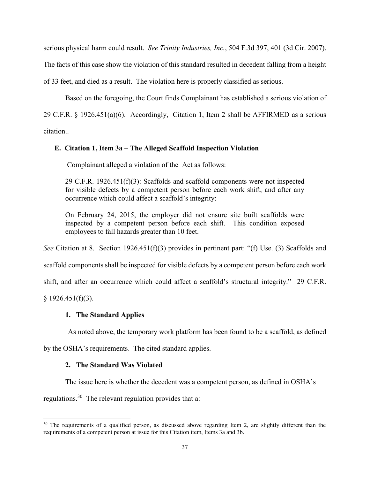serious physical harm could result. *See Trinity Industries, Inc.*, 504 F.3d 397, 401 (3d Cir. 2007).

The facts of this case show the violation of this standard resulted in decedent falling from a height

of 33 feet, and died as a result. The violation here is properly classified as serious.

Based on the foregoing, the Court finds Complainant has established a serious violation of

29 C.F.R. § 1926.451(a)(6). Accordingly, Citation 1, Item 2 shall be AFFIRMED as a serious

citation..

## **E. Citation 1, Item 3a – The Alleged Scaffold Inspection Violation**

Complainant alleged a violation of the Act as follows:

29 C.F.R. 1926.451(f)(3): Scaffolds and scaffold components were not inspected for visible defects by a competent person before each work shift, and after any occurrence which could affect a scaffold's integrity:

On February 24, 2015, the employer did not ensure site built scaffolds were inspected by a competent person before each shift. This condition exposed employees to fall hazards greater than 10 feet.

*See* Citation at 8. Section 1926.451(f)(3) provides in pertinent part: "(f) Use. (3) Scaffolds and

scaffold components shall be inspected for visible defects by a competent person before each work

shift, and after an occurrence which could affect a scaffold's structural integrity." 29 C.F.R.

 $§$  1926.451(f)(3).

 $\overline{a}$ 

## **1. The Standard Applies**

As noted above, the temporary work platform has been found to be a scaffold, as defined

by the OSHA's requirements. The cited standard applies.

## **2. The Standard Was Violated**

The issue here is whether the decedent was a competent person, as defined in OSHA's

regulations.<sup>30</sup> The relevant regulation provides that a:

<sup>&</sup>lt;sup>30</sup> The requirements of a qualified person, as discussed above regarding Item 2, are slightly different than the requirements of a competent person at issue for this Citation item, Items 3a and 3b.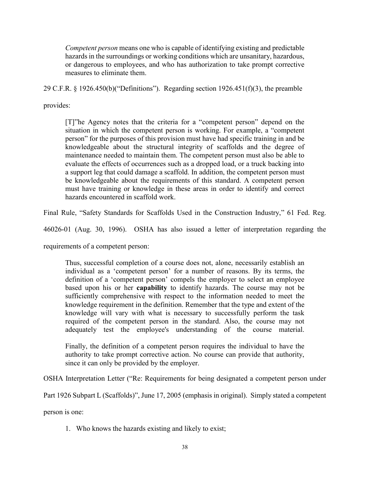*Competent person* means one who is capable of identifying existing and predictable hazards in the surroundings or working conditions which are unsanitary, hazardous, or dangerous to employees, and who has authorization to take prompt corrective measures to eliminate them.

29 C.F.R. § 1926.450(b)("Definitions"). Regarding section 1926.451(f)(3), the preamble

provides:

[T]"he Agency notes that the criteria for a "competent person" depend on the situation in which the competent person is working. For example, a "competent person" for the purposes of this provision must have had specific training in and be knowledgeable about the structural integrity of scaffolds and the degree of maintenance needed to maintain them. The competent person must also be able to evaluate the effects of occurrences such as a dropped load, or a truck backing into a support leg that could damage a scaffold. In addition, the competent person must be knowledgeable about the requirements of this standard. A competent person must have training or knowledge in these areas in order to identify and correct hazards encountered in scaffold work.

Final Rule, "Safety Standards for Scaffolds Used in the Construction Industry," 61 Fed. Reg.

46026-01 (Aug. 30, 1996). OSHA has also issued a letter of interpretation regarding the

requirements of a competent person:

Thus, successful completion of a course does not, alone, necessarily establish an individual as a 'competent person' for a number of reasons. By its terms, the definition of a 'competent person' compels the employer to select an employee based upon his or her **capability** to identify hazards. The course may not be sufficiently comprehensive with respect to the information needed to meet the knowledge requirement in the definition. Remember that the type and extent of the knowledge will vary with what is necessary to successfully perform the task required of the competent person in the standard. Also, the course may not adequately test the employee's understanding of the course material.

Finally, the definition of a competent person requires the individual to have the authority to take prompt corrective action. No course can provide that authority, since it can only be provided by the employer.

OSHA Interpretation Letter ("Re: Requirements for being designated a competent person under

Part 1926 Subpart L (Scaffolds)", June 17, 2005 (emphasis in original). Simply stated a competent

person is one:

1. Who knows the hazards existing and likely to exist;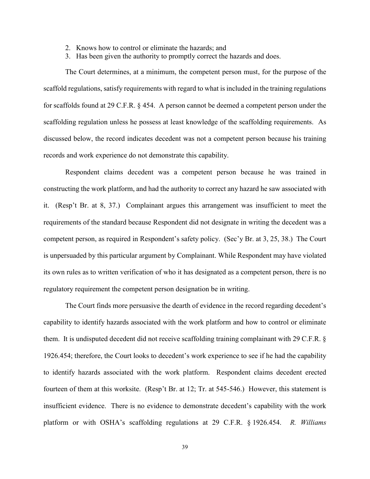- 2. Knows how to control or eliminate the hazards; and
- 3. Has been given the authority to promptly correct the hazards and does.

The Court determines, at a minimum, the competent person must, for the purpose of the scaffold regulations, satisfy requirements with regard to what is included in the training regulations for scaffolds found at 29 C.F.R. § 454. A person cannot be deemed a competent person under the scaffolding regulation unless he possess at least knowledge of the scaffolding requirements. As discussed below, the record indicates decedent was not a competent person because his training records and work experience do not demonstrate this capability.

Respondent claims decedent was a competent person because he was trained in constructing the work platform, and had the authority to correct any hazard he saw associated with it. (Resp't Br. at 8, 37.) Complainant argues this arrangement was insufficient to meet the requirements of the standard because Respondent did not designate in writing the decedent was a competent person, as required in Respondent's safety policy. (Sec'y Br. at 3, 25, 38.) The Court is unpersuaded by this particular argument by Complainant. While Respondent may have violated its own rules as to written verification of who it has designated as a competent person, there is no regulatory requirement the competent person designation be in writing.

The Court finds more persuasive the dearth of evidence in the record regarding decedent's capability to identify hazards associated with the work platform and how to control or eliminate them. It is undisputed decedent did not receive scaffolding training complainant with 29 C.F.R. § 1926.454; therefore, the Court looks to decedent's work experience to see if he had the capability to identify hazards associated with the work platform. Respondent claims decedent erected fourteen of them at this worksite. (Resp't Br. at 12; Tr. at 545-546.) However, this statement is insufficient evidence. There is no evidence to demonstrate decedent's capability with the work platform or with OSHA's scaffolding regulations at 29 C.F.R. § 1926.454. *R. Williams*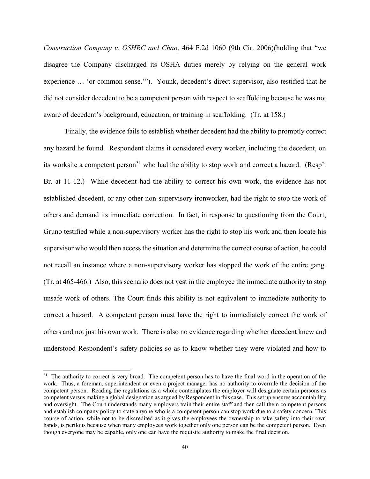*Construction Company v. OSHRC and Chao*, 464 F.2d 1060 (9th Cir. 2006)(holding that "we disagree the Company discharged its OSHA duties merely by relying on the general work experience … 'or common sense.'"). Younk, decedent's direct supervisor, also testified that he did not consider decedent to be a competent person with respect to scaffolding because he was not aware of decedent's background, education, or training in scaffolding. (Tr. at 158.)

Finally, the evidence fails to establish whether decedent had the ability to promptly correct any hazard he found. Respondent claims it considered every worker, including the decedent, on its worksite a competent person<sup>31</sup> who had the ability to stop work and correct a hazard. (Resp't Br. at 11-12.) While decedent had the ability to correct his own work, the evidence has not established decedent, or any other non-supervisory ironworker, had the right to stop the work of others and demand its immediate correction. In fact, in response to questioning from the Court, Gruno testified while a non-supervisory worker has the right to stop his work and then locate his supervisor who would then access the situation and determine the correct course of action, he could not recall an instance where a non-supervisory worker has stopped the work of the entire gang. (Tr. at 465-466.) Also, this scenario does not vest in the employee the immediate authority to stop unsafe work of others. The Court finds this ability is not equivalent to immediate authority to correct a hazard. A competent person must have the right to immediately correct the work of others and not just his own work. There is also no evidence regarding whether decedent knew and understood Respondent's safety policies so as to know whether they were violated and how to

<sup>&</sup>lt;sup>31</sup> The authority to correct is very broad. The competent person has to have the final word in the operation of the work. Thus, a foreman, superintendent or even a project manager has no authority to overrule the decision of the competent person. Reading the regulations as a whole contemplates the employer will designate certain persons as competent versus making a global designation as argued by Respondent in this case. This set up ensures accountability and oversight. The Court understands many employers train their entire staff and then call them competent persons and establish company policy to state anyone who is a competent person can stop work due to a safety concern. This course of action, while not to be discredited as it gives the employees the ownership to take safety into their own hands, is perilous because when many employees work together only one person can be the competent person. Even though everyone may be capable, only one can have the requisite authority to make the final decision.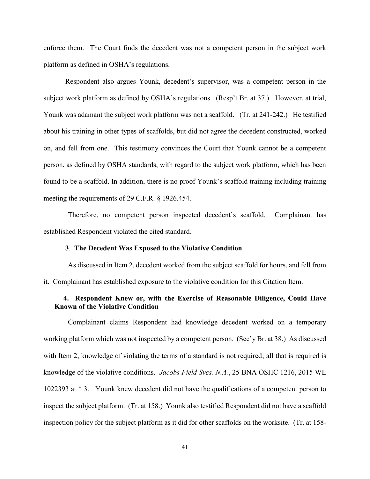enforce them. The Court finds the decedent was not a competent person in the subject work platform as defined in OSHA's regulations.

Respondent also argues Younk, decedent's supervisor, was a competent person in the subject work platform as defined by OSHA's regulations. (Resp't Br. at 37.) However, at trial, Younk was adamant the subject work platform was not a scaffold. (Tr. at 241-242.) He testified about his training in other types of scaffolds, but did not agree the decedent constructed, worked on, and fell from one. This testimony convinces the Court that Younk cannot be a competent person, as defined by OSHA standards, with regard to the subject work platform, which has been found to be a scaffold. In addition, there is no proof Younk's scaffold training including training meeting the requirements of 29 C.F.R. § 1926.454.

Therefore, no competent person inspected decedent's scaffold. Complainant has established Respondent violated the cited standard.

## **3**. **The Decedent Was Exposed to the Violative Condition**

As discussed in Item 2, decedent worked from the subject scaffold for hours, and fell from it. Complainant has established exposure to the violative condition for this Citation Item.

# **4. Respondent Knew or, with the Exercise of Reasonable Diligence, Could Have Known of the Violative Condition**

Complainant claims Respondent had knowledge decedent worked on a temporary working platform which was not inspected by a competent person. (Sec'y Br. at 38.) As discussed with Item 2, knowledge of violating the terms of a standard is not required; all that is required is knowledge of the violative conditions. *Jacobs Field Svcs. N.A.*, 25 BNA OSHC 1216, 2015 WL 1022393 at \* 3. Younk knew decedent did not have the qualifications of a competent person to inspect the subject platform. (Tr. at 158.) Younk also testified Respondent did not have a scaffold inspection policy for the subject platform as it did for other scaffolds on the worksite. (Tr. at 158-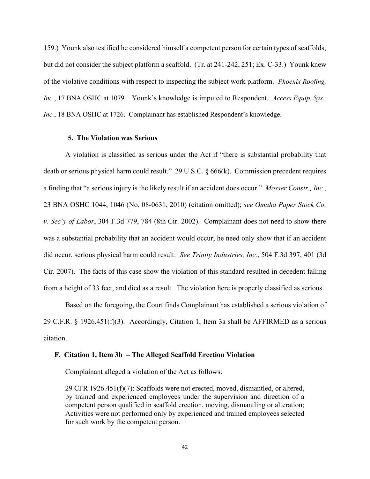159.) Younk also testified he considered himself a competent person for certain types of scaffolds, but did not consider the subject platform a scaffold. (Tr. at 241-242, 251; Ex. C-33.) Younk knew of the violative conditions with respect to inspecting the subject work platform. *Phoenix Roofing, Inc.*, 17 BNA OSHC at 1079. Younk's knowledge is imputed to Respondent. *Access Equip. Sys., Inc.*, 18 BNA OSHC at 1726. Complainant has established Respondent's knowledge.

## **5. The Violation was Serious**

A violation is classified as serious under the Act if "there is substantial probability that death or serious physical harm could result." 29 U.S.C. § 666(k). Commission precedent requires a finding that "a serious injury is the likely result if an accident does occur." *Mosser Constr., Inc.*, 23 BNA OSHC 1044, 1046 (No. 08-0631, 2010) (citation omitted); *see Omaha Paper Stock Co. v. Sec'y of Labor*, 304 F.3d 779, 784 (8th Cir. 2002). Complainant does not need to show there was a substantial probability that an accident would occur; he need only show that if an accident did occur, serious physical harm could result. *See Trinity Industries, Inc.*, 504 F.3d 397, 401 (3d Cir. 2007). The facts of this case show the violation of this standard resulted in decedent falling from a height of 33 feet, and died as a result. The violation here is properly classified as serious.

Based on the foregoing, the Court finds Complainant has established a serious violation of 29 C.F.R. § 1926.451(f)(3). Accordingly, Citation 1, Item 3a shall be AFFIRMED as a serious citation.

## **F. Citation 1, Item 3b – The Alleged Scaffold Erection Violation**

Complainant alleged a violation of the Act as follows:

29 CFR 1926.451(f)(7): Scaffolds were not erected, moved, dismantled, or altered, by trained and experienced employees under the supervision and direction of a competent person qualified in scaffold erection, moving, dismantling or alteration; Activities were not performed only by experienced and trained employees selected for such work by the competent person.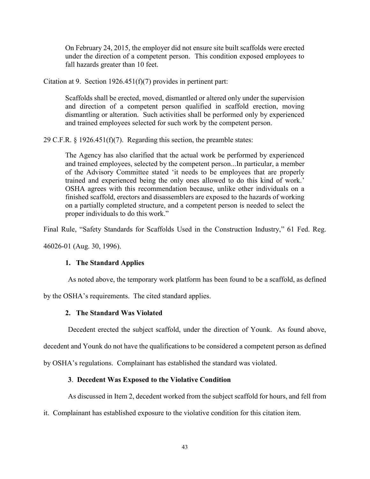On February 24, 2015, the employer did not ensure site built scaffolds were erected under the direction of a competent person. This condition exposed employees to fall hazards greater than 10 feet.

Citation at 9. Section 1926.451(f)(7) provides in pertinent part:

Scaffolds shall be erected, moved, dismantled or altered only under the supervision and direction of a competent person qualified in scaffold erection, moving dismantling or alteration. Such activities shall be performed only by experienced and trained employees selected for such work by the competent person.

29 C.F.R.  $\S$  1926.451(f)(7). Regarding this section, the preamble states:

The Agency has also clarified that the actual work be performed by experienced and trained employees, selected by the competent person...In particular, a member of the Advisory Committee stated 'it needs to be employees that are properly trained and experienced being the only ones allowed to do this kind of work.' OSHA agrees with this recommendation because, unlike other individuals on a finished scaffold, erectors and disassemblers are exposed to the hazards of working on a partially completed structure, and a competent person is needed to select the proper individuals to do this work."

Final Rule, "Safety Standards for Scaffolds Used in the Construction Industry," 61 Fed. Reg.

46026-01 (Aug. 30, 1996).

# **1. The Standard Applies**

As noted above, the temporary work platform has been found to be a scaffold, as defined

by the OSHA's requirements. The cited standard applies.

# **2. The Standard Was Violated**

Decedent erected the subject scaffold, under the direction of Younk. As found above,

decedent and Younk do not have the qualifications to be considered a competent person as defined

by OSHA's regulations. Complainant has established the standard was violated.

## **3**. **Decedent Was Exposed to the Violative Condition**

As discussed in Item 2, decedent worked from the subject scaffold for hours, and fell from

it. Complainant has established exposure to the violative condition for this citation item.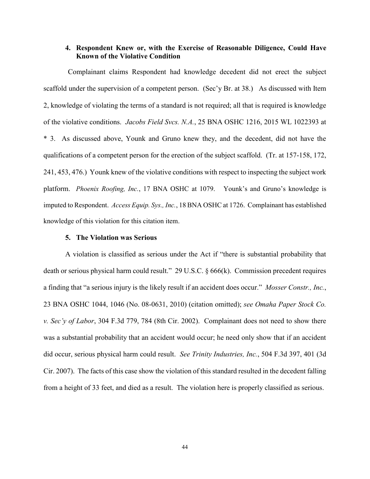# **4. Respondent Knew or, with the Exercise of Reasonable Diligence, Could Have Known of the Violative Condition**

Complainant claims Respondent had knowledge decedent did not erect the subject scaffold under the supervision of a competent person. (Sec'y Br. at 38.) As discussed with Item 2, knowledge of violating the terms of a standard is not required; all that is required is knowledge of the violative conditions. *Jacobs Field Svcs. N.A.*, 25 BNA OSHC 1216, 2015 WL 1022393 at \* 3. As discussed above, Younk and Gruno knew they, and the decedent, did not have the qualifications of a competent person for the erection of the subject scaffold. (Tr. at 157-158, 172, 241, 453, 476.) Younk knew of the violative conditions with respect to inspecting the subject work platform. *Phoenix Roofing, Inc.*, 17 BNA OSHC at 1079. Younk's and Gruno's knowledge is imputed to Respondent. *Access Equip. Sys., Inc.*, 18 BNA OSHC at 1726. Complainant has established knowledge of this violation for this citation item.

## **5. The Violation was Serious**

A violation is classified as serious under the Act if "there is substantial probability that death or serious physical harm could result." 29 U.S.C. § 666(k). Commission precedent requires a finding that "a serious injury is the likely result if an accident does occur." *Mosser Constr., Inc.*, 23 BNA OSHC 1044, 1046 (No. 08-0631, 2010) (citation omitted); *see Omaha Paper Stock Co. v. Sec'y of Labor*, 304 F.3d 779, 784 (8th Cir. 2002). Complainant does not need to show there was a substantial probability that an accident would occur; he need only show that if an accident did occur, serious physical harm could result. *See Trinity Industries, Inc.*, 504 F.3d 397, 401 (3d Cir. 2007). The facts of this case show the violation of this standard resulted in the decedent falling from a height of 33 feet, and died as a result. The violation here is properly classified as serious.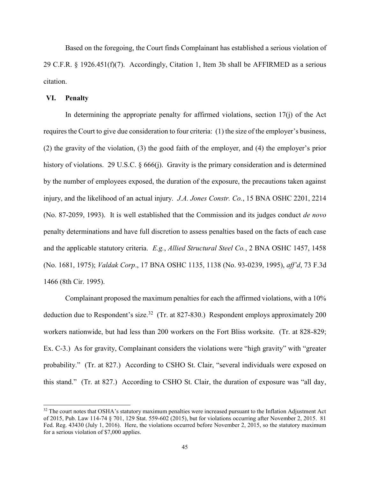Based on the foregoing, the Court finds Complainant has established a serious violation of 29 C.F.R.  $\S$  1926.451(f)(7). Accordingly, Citation 1, Item 3b shall be AFFIRMED as a serious citation.

### **VI. Penalty**

 $\overline{a}$ 

In determining the appropriate penalty for affirmed violations, section  $17(i)$  of the Act requires the Court to give due consideration to four criteria: (1) the size of the employer's business, (2) the gravity of the violation, (3) the good faith of the employer, and (4) the employer's prior history of violations. 29 U.S.C. § 666(j). Gravity is the primary consideration and is determined by the number of employees exposed, the duration of the exposure, the precautions taken against injury, and the likelihood of an actual injury. *J.A. Jones Constr. Co.*, 15 BNA OSHC 2201, 2214 (No. 87-2059, 1993). It is well established that the Commission and its judges conduct *de novo* penalty determinations and have full discretion to assess penalties based on the facts of each case and the applicable statutory criteria. *E.g.*, *Allied Structural Steel Co.*, 2 BNA OSHC 1457, 1458 (No. 1681, 1975); *Valdak Corp*., 17 BNA OSHC 1135, 1138 (No. 93-0239, 1995), *aff'd*, 73 F.3d 1466 (8th Cir. 1995).

Complainant proposed the maximum penalties for each the affirmed violations, with a 10% deduction due to Respondent's size.<sup>32</sup> (Tr. at 827-830.) Respondent employs approximately 200 workers nationwide, but had less than 200 workers on the Fort Bliss worksite. (Tr. at 828-829; Ex. C-3.) As for gravity, Complainant considers the violations were "high gravity" with "greater probability." (Tr. at 827.) According to CSHO St. Clair, "several individuals were exposed on this stand." (Tr. at 827.) According to CSHO St. Clair, the duration of exposure was "all day,

 $32$  The court notes that OSHA's statutory maximum penalties were increased pursuant to the Inflation Adjustment Act of 2015, Pub. Law 114-74 § 701, 129 Stat. 559-602 (2015), but for violations occurring after November 2, 2015. 81 Fed. Reg. 43430 (July 1, 2016). Here, the violations occurred before November 2, 2015, so the statutory maximum for a serious violation of \$7,000 applies.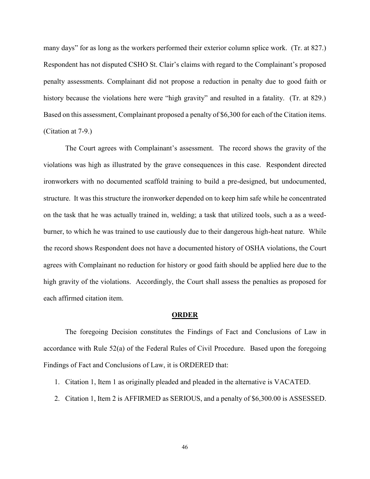many days" for as long as the workers performed their exterior column splice work. (Tr. at 827.) Respondent has not disputed CSHO St. Clair's claims with regard to the Complainant's proposed penalty assessments. Complainant did not propose a reduction in penalty due to good faith or history because the violations here were "high gravity" and resulted in a fatality. (Tr. at 829.) Based on this assessment, Complainant proposed a penalty of \$6,300 for each of the Citation items. (Citation at 7-9.)

The Court agrees with Complainant's assessment. The record shows the gravity of the violations was high as illustrated by the grave consequences in this case. Respondent directed ironworkers with no documented scaffold training to build a pre-designed, but undocumented, structure. It was this structure the ironworker depended on to keep him safe while he concentrated on the task that he was actually trained in, welding; a task that utilized tools, such a as a weedburner, to which he was trained to use cautiously due to their dangerous high-heat nature. While the record shows Respondent does not have a documented history of OSHA violations, the Court agrees with Complainant no reduction for history or good faith should be applied here due to the high gravity of the violations. Accordingly, the Court shall assess the penalties as proposed for each affirmed citation item.

#### **ORDER**

The foregoing Decision constitutes the Findings of Fact and Conclusions of Law in accordance with Rule 52(a) of the Federal Rules of Civil Procedure. Based upon the foregoing Findings of Fact and Conclusions of Law, it is ORDERED that:

- 1. Citation 1, Item 1 as originally pleaded and pleaded in the alternative is VACATED.
- 2. Citation 1, Item 2 is AFFIRMED as SERIOUS, and a penalty of \$6,300.00 is ASSESSED.